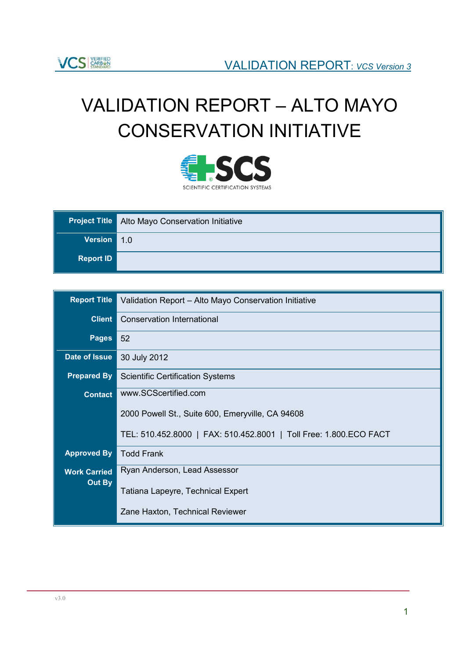# VALIDATION REPORT – ALTO MAYO CONSERVATION INITIATIVE



|                  | <b>Project Title</b> Alto Mayo Conservation Initiative |
|------------------|--------------------------------------------------------|
| Version 1.0      |                                                        |
| <b>Report ID</b> |                                                        |

| <b>Report Title</b> | Validation Report - Alto Mayo Conservation Initiative             |
|---------------------|-------------------------------------------------------------------|
| <b>Client</b>       | <b>Conservation International</b>                                 |
| <b>Pages</b>        | 52                                                                |
| Date of Issue       | 30 July 2012                                                      |
| <b>Prepared By</b>  | <b>Scientific Certification Systems</b>                           |
| <b>Contact</b>      | www.SCScertified.com                                              |
|                     | 2000 Powell St., Suite 600, Emeryville, CA 94608                  |
|                     | TEL: 510.452.8000   FAX: 510.452.8001   Toll Free: 1.800.ECO FACT |
| <b>Approved By</b>  | <b>Todd Frank</b>                                                 |
| <b>Work Carried</b> | Ryan Anderson, Lead Assessor                                      |
| Out By              | Tatiana Lapeyre, Technical Expert                                 |
|                     | Zane Haxton, Technical Reviewer                                   |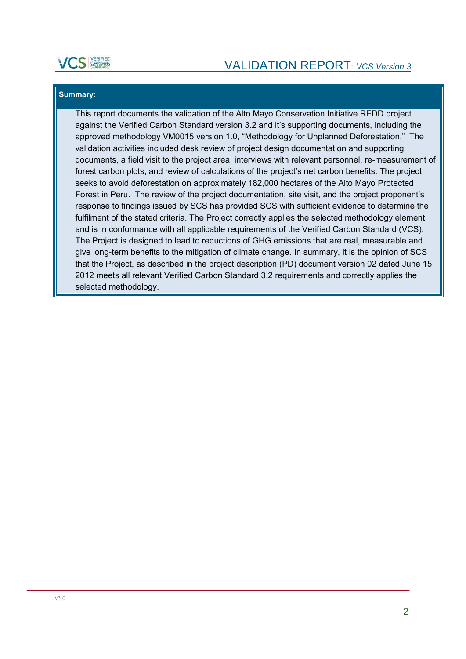

### **Summary:**

This report documents the validation of the Alto Mayo Conservation Initiative REDD project against the Verified Carbon Standard version 3.2 and it's supporting documents, including the approved methodology VM0015 version 1.0, "Methodology for Unplanned Deforestation." The validation activities included desk review of project design documentation and supporting documents, a field visit to the project area, interviews with relevant personnel, re-measurement of forest carbon plots, and review of calculations of the project's net carbon benefits. The project seeks to avoid deforestation on approximately 182,000 hectares of the Alto Mayo Protected Forest in Peru. The review of the project documentation, site visit, and the project proponent's response to findings issued by SCS has provided SCS with sufficient evidence to determine the fulfilment of the stated criteria. The Project correctly applies the selected methodology element and is in conformance with all applicable requirements of the Verified Carbon Standard (VCS). The Project is designed to lead to reductions of GHG emissions that are real, measurable and give long-term benefits to the mitigation of climate change. In summary, it is the opinion of SCS that the Project, as described in the project description (PD) document version 02 dated June 15, 2012 meets all relevant Verified Carbon Standard 3.2 requirements and correctly applies the selected methodology.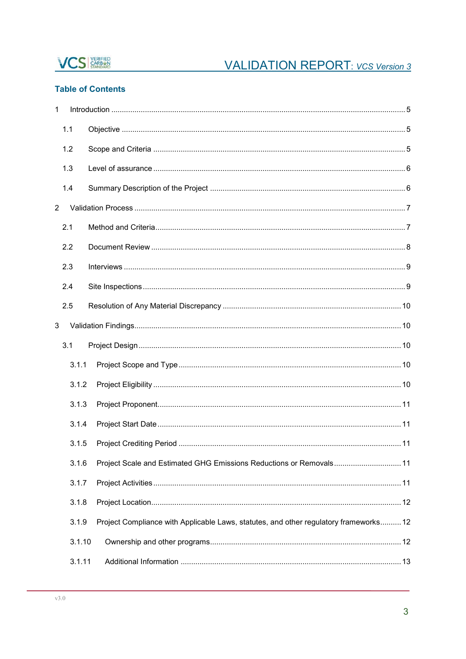

### **Table of Contents**

| 1              |        |                                                                                       |
|----------------|--------|---------------------------------------------------------------------------------------|
|                | 1.1    |                                                                                       |
|                | 1.2    |                                                                                       |
|                | 1.3    |                                                                                       |
|                | 1.4    |                                                                                       |
| $\overline{2}$ |        |                                                                                       |
|                | 2.1    |                                                                                       |
|                | 2.2    |                                                                                       |
|                | 2.3    |                                                                                       |
|                | 2.4    |                                                                                       |
|                | 2.5    |                                                                                       |
| 3              |        |                                                                                       |
|                | 3.1    |                                                                                       |
|                | 3.1.1  |                                                                                       |
|                | 3.1.2  |                                                                                       |
|                | 3.1.3  |                                                                                       |
|                | 3.1.4  |                                                                                       |
|                | 3.1.5  |                                                                                       |
|                | 3.1.6  | Project Scale and Estimated GHG Emissions Reductions or Removals 11                   |
|                | 3.1.7  |                                                                                       |
|                | 3.1.8  |                                                                                       |
|                | 3.1.9  | Project Compliance with Applicable Laws, statutes, and other regulatory frameworks 12 |
|                | 3.1.10 |                                                                                       |
|                | 3.1.11 |                                                                                       |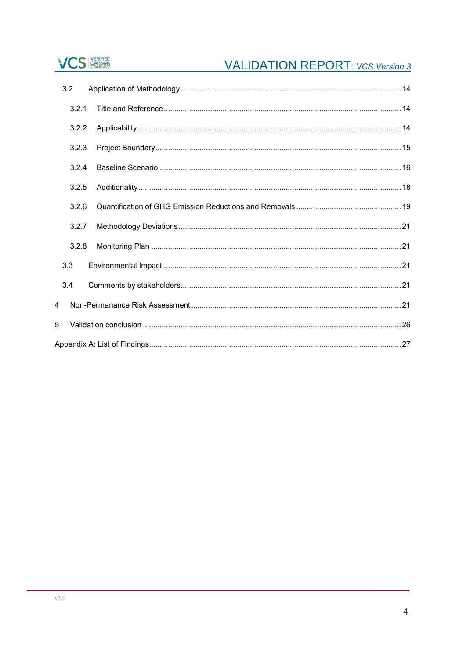## **VCS** STANDARD

## **VALIDATION REPORT:** VCS Version 3

|   | 3.2   |  |  |  |  |
|---|-------|--|--|--|--|
|   | 3.2.1 |  |  |  |  |
|   | 3.2.2 |  |  |  |  |
|   | 3.2.3 |  |  |  |  |
|   | 3.2.4 |  |  |  |  |
|   | 3.2.5 |  |  |  |  |
|   | 3.2.6 |  |  |  |  |
|   | 3.2.7 |  |  |  |  |
|   | 3.2.8 |  |  |  |  |
|   | 3.3   |  |  |  |  |
|   | 3.4   |  |  |  |  |
| 4 |       |  |  |  |  |
| 5 |       |  |  |  |  |
|   |       |  |  |  |  |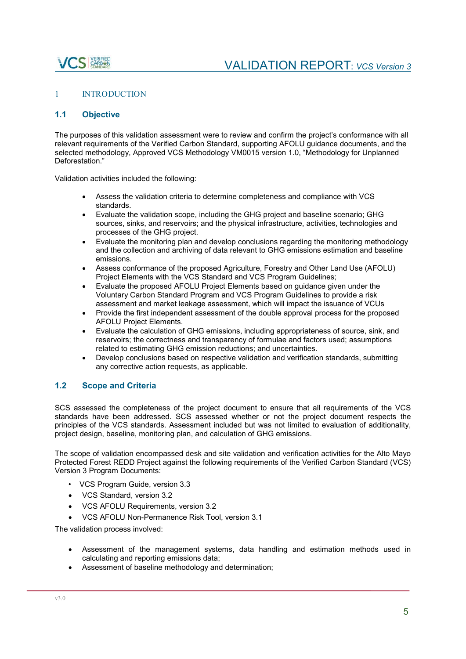## S CARBEN

### 1 INTRODUCTION

### **1.1 Objective**

The purposes of this validation assessment were to review and confirm the project's conformance with all relevant requirements of the Verified Carbon Standard, supporting AFOLU guidance documents, and the selected methodology, Approved VCS Methodology VM0015 version 1.0, "Methodology for Unplanned Deforestation."

Validation activities included the following:

- Assess the validation criteria to determine completeness and compliance with VCS standards.
- Evaluate the validation scope, including the GHG project and baseline scenario; GHG sources, sinks, and reservoirs; and the physical infrastructure, activities, technologies and processes of the GHG project.
- Evaluate the monitoring plan and develop conclusions regarding the monitoring methodology and the collection and archiving of data relevant to GHG emissions estimation and baseline emissions.
- Assess conformance of the proposed Agriculture, Forestry and Other Land Use (AFOLU) Project Elements with the VCS Standard and VCS Program Guidelines;
- Evaluate the proposed AFOLU Project Elements based on guidance given under the Voluntary Carbon Standard Program and VCS Program Guidelines to provide a risk assessment and market leakage assessment, which will impact the issuance of VCUs
- Provide the first independent assessment of the double approval process for the proposed AFOLU Project Elements.
- Evaluate the calculation of GHG emissions, including appropriateness of source, sink, and reservoirs; the correctness and transparency of formulae and factors used; assumptions related to estimating GHG emission reductions; and uncertainties.
- Develop conclusions based on respective validation and verification standards, submitting any corrective action requests, as applicable.

### **1.2 Scope and Criteria**

SCS assessed the completeness of the project document to ensure that all requirements of the VCS standards have been addressed. SCS assessed whether or not the project document respects the principles of the VCS standards. Assessment included but was not limited to evaluation of additionality, project design, baseline, monitoring plan, and calculation of GHG emissions.

The scope of validation encompassed desk and site validation and verification activities for the Alto Mayo Protected Forest REDD Project against the following requirements of the Verified Carbon Standard (VCS) Version 3 Program Documents:

- VCS Program Guide, version 3.3
- VCS Standard, version 3.2
- VCS AFOLU Requirements, version 3.2
- VCS AFOLU Non-Permanence Risk Tool, version 3.1

The validation process involved:

- Assessment of the management systems, data handling and estimation methods used in calculating and reporting emissions data;
- Assessment of baseline methodology and determination;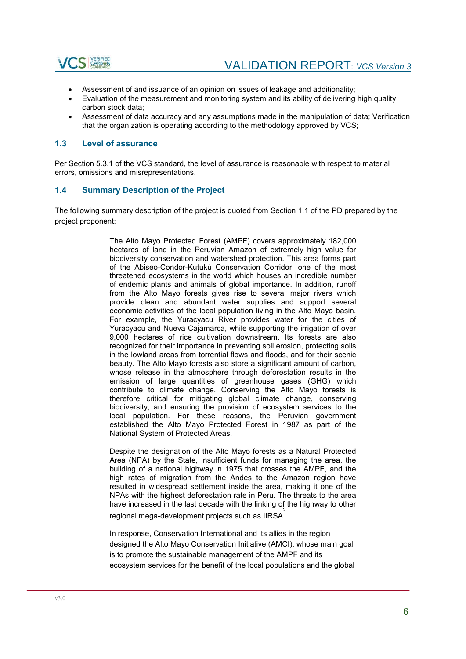

- Assessment of and issuance of an opinion on issues of leakage and additionality;
- Evaluation of the measurement and monitoring system and its ability of delivering high quality carbon stock data;
- Assessment of data accuracy and any assumptions made in the manipulation of data; Verification that the organization is operating according to the methodology approved by VCS;

### **1.3 Level of assurance**

Per Section 5.3.1 of the VCS standard, the level of assurance is reasonable with respect to material errors, omissions and misrepresentations.

### **1.4 Summary Description of the Project**

The following summary description of the project is quoted from Section 1.1 of the PD prepared by the project proponent:

> The Alto Mayo Protected Forest (AMPF) covers approximately 182,000 hectares of land in the Peruvian Amazon of extremely high value for biodiversity conservation and watershed protection. This area forms part of the Abiseo-Condor-Kutukú Conservation Corridor, one of the most threatened ecosystems in the world which houses an incredible number of endemic plants and animals of global importance. In addition, runoff from the Alto Mayo forests gives rise to several major rivers which provide clean and abundant water supplies and support several economic activities of the local population living in the Alto Mayo basin. For example, the Yuracyacu River provides water for the cities of Yuracyacu and Nueva Cajamarca, while supporting the irrigation of over 9,000 hectares of rice cultivation downstream. Its forests are also recognized for their importance in preventing soil erosion, protecting soils in the lowland areas from torrential flows and floods, and for their scenic beauty. The Alto Mayo forests also store a significant amount of carbon, whose release in the atmosphere through deforestation results in the emission of large quantities of greenhouse gases (GHG) which contribute to climate change. Conserving the Alto Mayo forests is therefore critical for mitigating global climate change, conserving biodiversity, and ensuring the provision of ecosystem services to the local population. For these reasons, the Peruvian government established the Alto Mayo Protected Forest in 1987 as part of the National System of Protected Areas.

> Despite the designation of the Alto Mayo forests as a Natural Protected Area (NPA) by the State, insufficient funds for managing the area, the building of a national highway in 1975 that crosses the AMPF, and the high rates of migration from the Andes to the Amazon region have resulted in widespread settlement inside the area, making it one of the NPAs with the highest deforestation rate in Peru. The threats to the area have increased in the last decade with the linking of the highway to other

regional mega-development projects such as IIRSA $\frac{2}{3}$ 

In response, Conservation International and its allies in the region designed the Alto Mayo Conservation Initiative (AMCI), whose main goal is to promote the sustainable management of the AMPF and its ecosystem services for the benefit of the local populations and the global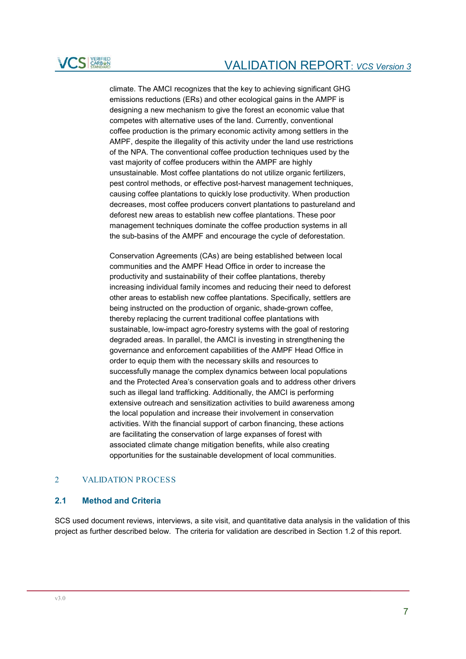

climate. The AMCI recognizes that the key to achieving significant GHG emissions reductions (ERs) and other ecological gains in the AMPF is designing a new mechanism to give the forest an economic value that competes with alternative uses of the land. Currently, conventional coffee production is the primary economic activity among settlers in the AMPF, despite the illegality of this activity under the land use restrictions of the NPA. The conventional coffee production techniques used by the vast majority of coffee producers within the AMPF are highly unsustainable. Most coffee plantations do not utilize organic fertilizers, pest control methods, or effective post-harvest management techniques, causing coffee plantations to quickly lose productivity. When production decreases, most coffee producers convert plantations to pastureland and deforest new areas to establish new coffee plantations. These poor management techniques dominate the coffee production systems in all the sub-basins of the AMPF and encourage the cycle of deforestation.

Conservation Agreements (CAs) are being established between local communities and the AMPF Head Office in order to increase the productivity and sustainability of their coffee plantations, thereby increasing individual family incomes and reducing their need to deforest other areas to establish new coffee plantations. Specifically, settlers are being instructed on the production of organic, shade-grown coffee, thereby replacing the current traditional coffee plantations with sustainable, low-impact agro-forestry systems with the goal of restoring degraded areas. In parallel, the AMCI is investing in strengthening the governance and enforcement capabilities of the AMPF Head Office in order to equip them with the necessary skills and resources to successfully manage the complex dynamics between local populations and the Protected Area's conservation goals and to address other drivers such as illegal land trafficking. Additionally, the AMCI is performing extensive outreach and sensitization activities to build awareness among the local population and increase their involvement in conservation activities. With the financial support of carbon financing, these actions are facilitating the conservation of large expanses of forest with associated climate change mitigation benefits, while also creating opportunities for the sustainable development of local communities.

### 2 VALIDATION PROCESS

### **2.1 Method and Criteria**

SCS used document reviews, interviews, a site visit, and quantitative data analysis in the validation of this project as further described below. The criteria for validation are described in Section 1.2 of this report.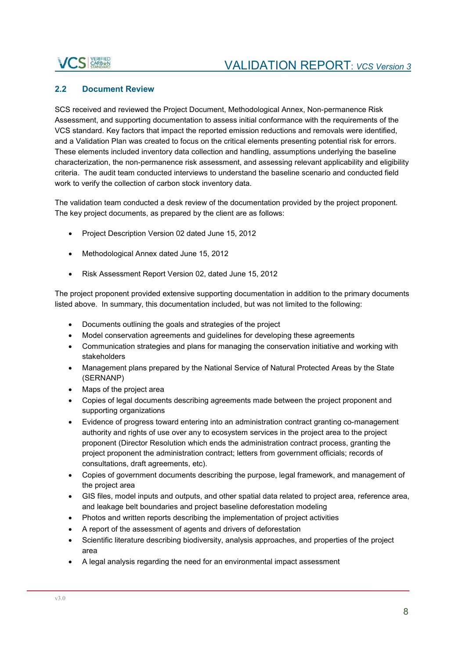## **ICS EARLEST**

### **2.2 Document Review**

SCS received and reviewed the Project Document, Methodological Annex, Non-permanence Risk Assessment, and supporting documentation to assess initial conformance with the requirements of the VCS standard. Key factors that impact the reported emission reductions and removals were identified, and a Validation Plan was created to focus on the critical elements presenting potential risk for errors. These elements included inventory data collection and handling, assumptions underlying the baseline characterization, the non-permanence risk assessment, and assessing relevant applicability and eligibility criteria. The audit team conducted interviews to understand the baseline scenario and conducted field work to verify the collection of carbon stock inventory data.

The validation team conducted a desk review of the documentation provided by the project proponent. The key project documents, as prepared by the client are as follows:

- Project Description Version 02 dated June 15, 2012
- Methodological Annex dated June 15, 2012
- Risk Assessment Report Version 02, dated June 15, 2012

The project proponent provided extensive supporting documentation in addition to the primary documents listed above. In summary, this documentation included, but was not limited to the following:

- Documents outlining the goals and strategies of the project
- Model conservation agreements and guidelines for developing these agreements
- Communication strategies and plans for managing the conservation initiative and working with stakeholders
- Management plans prepared by the National Service of Natural Protected Areas by the State (SERNANP)
- Maps of the project area
- Copies of legal documents describing agreements made between the project proponent and supporting organizations
- Evidence of progress toward entering into an administration contract granting co-management authority and rights of use over any to ecosystem services in the project area to the project proponent (Director Resolution which ends the administration contract process, granting the project proponent the administration contract; letters from government officials; records of consultations, draft agreements, etc).
- Copies of government documents describing the purpose, legal framework, and management of the project area
- GIS files, model inputs and outputs, and other spatial data related to project area, reference area, and leakage belt boundaries and project baseline deforestation modeling
- Photos and written reports describing the implementation of project activities
- A report of the assessment of agents and drivers of deforestation
- Scientific literature describing biodiversity, analysis approaches, and properties of the project area
- A legal analysis regarding the need for an environmental impact assessment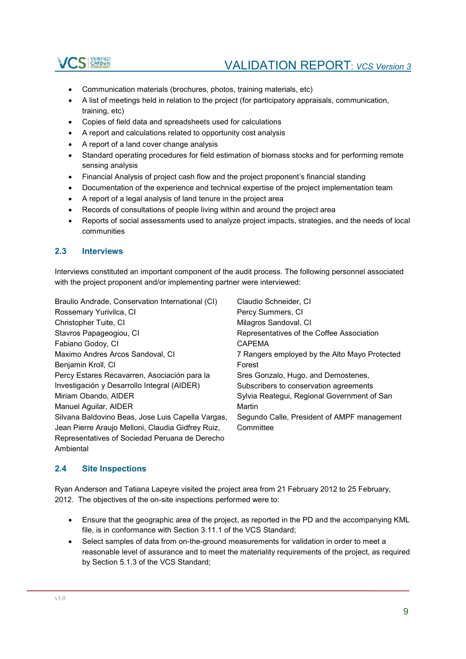

- Communication materials (brochures, photos, training materials, etc)
- A list of meetings held in relation to the project (for participatory appraisals, communication, training, etc)
- Copies of field data and spreadsheets used for calculations
- A report and calculations related to opportunity cost analysis
- A report of a land cover change analysis
- Standard operating procedures for field estimation of biomass stocks and for performing remote sensing analysis
- Financial Analysis of project cash flow and the project proponent's financial standing
- Documentation of the experience and technical expertise of the project implementation team
- A report of a legal analysis of land tenure in the project area
- Records of consultations of people living within and around the project area
- Reports of social assessments used to analyze project impacts, strategies, and the needs of local communities

### **2.3 Interviews**

Interviews constituted an important component of the audit process. The following personnel associated with the project proponent and/or implementing partner were interviewed:

| Braulio Andrade, Conservation International (CI)  | Claudio Schneider, CI                         |
|---------------------------------------------------|-----------------------------------------------|
| Rossemary Yurivilca, CI                           | Percy Summers, CI                             |
| Christopher Tuite, CI                             | Milagros Sandoval, CI                         |
| Stavros Papageogiou, CI                           | Representatives of the Coffee Association     |
| Fabiano Godoy, CI                                 | <b>CAPFMA</b>                                 |
| Maximo Andres Arcos Sandoval, CI                  | 7 Rangers employed by the Alto Mayo Protected |
| Benjamin Kroll, CI                                | Forest                                        |
| Percy Estares Recavarren, Asociación para la      | Sres Gonzalo, Hugo, and Demostenes,           |
| Investigación y Desarrollo Integral (AIDER)       | Subscribers to conservation agreements        |
| Miriam Obando, AIDER                              | Sylvia Reategui, Regional Government of San   |
| Manuel Aguilar, AIDER                             | Martin                                        |
| Silvana Baldovino Beas, Jose Luis Capella Vargas, | Segundo Calle, President of AMPF management   |
| Jean Pierre Araujo Melloni, Claudia Gidfrey Ruiz, | Committee                                     |
| Representatives of Sociedad Peruana de Derecho    |                                               |
| Ambiental                                         |                                               |

### **2.4 Site Inspections**

Ryan Anderson and Tatiana Lapeyre visited the project area from 21 February 2012 to 25 February, 2012. The objectives of the on-site inspections performed were to:

- Ensure that the geographic area of the project, as reported in the PD and the accompanying KML file, is in conformance with Section 3.11.1 of the VCS Standard;
- Select samples of data from on-the-ground measurements for validation in order to meet a reasonable level of assurance and to meet the materiality requirements of the project, as required by Section 5.1.3 of the VCS Standard;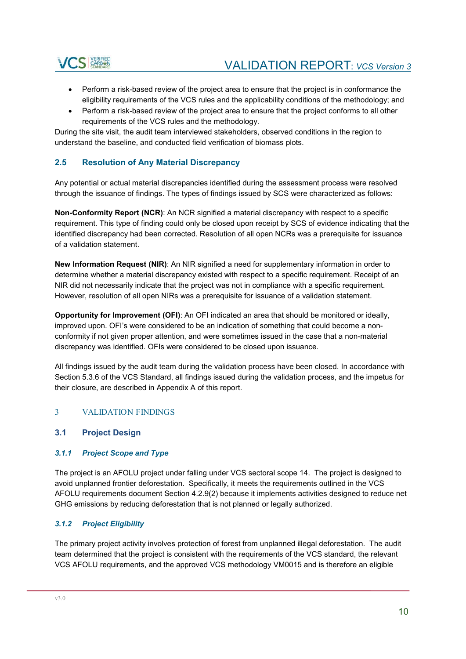

- Perform a risk-based review of the project area to ensure that the project is in conformance the eligibility requirements of the VCS rules and the applicability conditions of the methodology; and
- Perform a risk-based review of the project area to ensure that the project conforms to all other requirements of the VCS rules and the methodology.

During the site visit, the audit team interviewed stakeholders, observed conditions in the region to understand the baseline, and conducted field verification of biomass plots.

### **2.5 Resolution of Any Material Discrepancy**

Any potential or actual material discrepancies identified during the assessment process were resolved through the issuance of findings. The types of findings issued by SCS were characterized as follows:

**Non-Conformity Report (NCR):** An NCR signified a material discrepancy with respect to a specific requirement. This type of finding could only be closed upon receipt by SCS of evidence indicating that the identified discrepancy had been corrected. Resolution of all open NCRs was a prerequisite for issuance of a validation statement.

**New Information Request (NIR)**: An NIR signified a need for supplementary information in order to determine whether a material discrepancy existed with respect to a specific requirement. Receipt of an NIR did not necessarily indicate that the project was not in compliance with a specific requirement. However, resolution of all open NIRs was a prerequisite for issuance of a validation statement.

**Opportunity for Improvement (OFI)**: An OFI indicated an area that should be monitored or ideally, improved upon. OFI's were considered to be an indication of something that could become a nonconformity if not given proper attention, and were sometimes issued in the case that a non-material discrepancy was identified. OFIs were considered to be closed upon issuance.

All findings issued by the audit team during the validation process have been closed. In accordance with Section 5.3.6 of the VCS Standard, all findings issued during the validation process, and the impetus for their closure, are described in Appendix A of this report.

### 3 VALIDATION FINDINGS

### **3.1 Project Design**

### *3.1.1 Project Scope and Type*

The project is an AFOLU project under falling under VCS sectoral scope 14. The project is designed to avoid unplanned frontier deforestation. Specifically, it meets the requirements outlined in the VCS AFOLU requirements document Section 4.2.9(2) because it implements activities designed to reduce net GHG emissions by reducing deforestation that is not planned or legally authorized.

### *3.1.2 Project Eligibility*

The primary project activity involves protection of forest from unplanned illegal deforestation. The audit team determined that the project is consistent with the requirements of the VCS standard, the relevant VCS AFOLU requirements, and the approved VCS methodology VM0015 and is therefore an eligible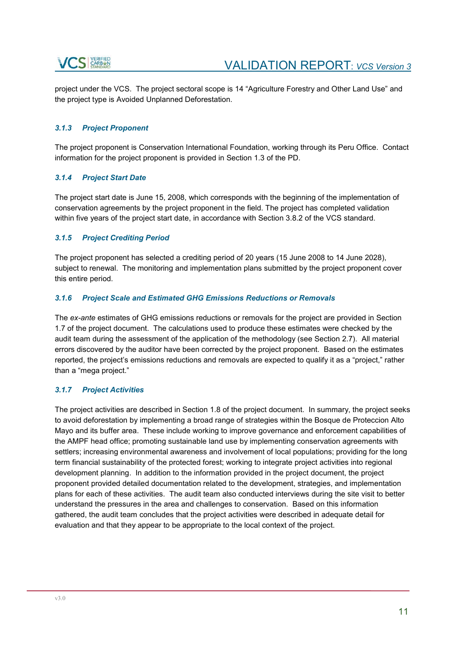project under the VCS. The project sectoral scope is 14 "Agriculture Forestry and Other Land Use" and the project type is Avoided Unplanned Deforestation.

### *3.1.3 Project Proponent*

The project proponent is Conservation International Foundation, working through its Peru Office. Contact information for the project proponent is provided in Section 1.3 of the PD.

### *3.1.4 Project Start Date*

The project start date is June 15, 2008, which corresponds with the beginning of the implementation of conservation agreements by the project proponent in the field. The project has completed validation within five years of the project start date, in accordance with Section 3.8.2 of the VCS standard.

### *3.1.5 Project Crediting Period*

The project proponent has selected a crediting period of 20 years (15 June 2008 to 14 June 2028), subject to renewal. The monitoring and implementation plans submitted by the project proponent cover this entire period.

### *3.1.6 Project Scale and Estimated GHG Emissions Reductions or Removals*

The *ex-ante* estimates of GHG emissions reductions or removals for the project are provided in Section 1.7 of the project document. The calculations used to produce these estimates were checked by the audit team during the assessment of the application of the methodology (see Section 2.7). All material errors discovered by the auditor have been corrected by the project proponent. Based on the estimates reported, the project's emissions reductions and removals are expected to qualify it as a "project," rather than a "mega project."

### *3.1.7 Project Activities*

The project activities are described in Section 1.8 of the project document. In summary, the project seeks to avoid deforestation by implementing a broad range of strategies within the Bosque de Proteccion Alto Mayo and its buffer area. These include working to improve governance and enforcement capabilities of the AMPF head office; promoting sustainable land use by implementing conservation agreements with settlers; increasing environmental awareness and involvement of local populations; providing for the long term financial sustainability of the protected forest; working to integrate project activities into regional development planning. In addition to the information provided in the project document, the project proponent provided detailed documentation related to the development, strategies, and implementation plans for each of these activities. The audit team also conducted interviews during the site visit to better understand the pressures in the area and challenges to conservation. Based on this information gathered, the audit team concludes that the project activities were described in adequate detail for evaluation and that they appear to be appropriate to the local context of the project.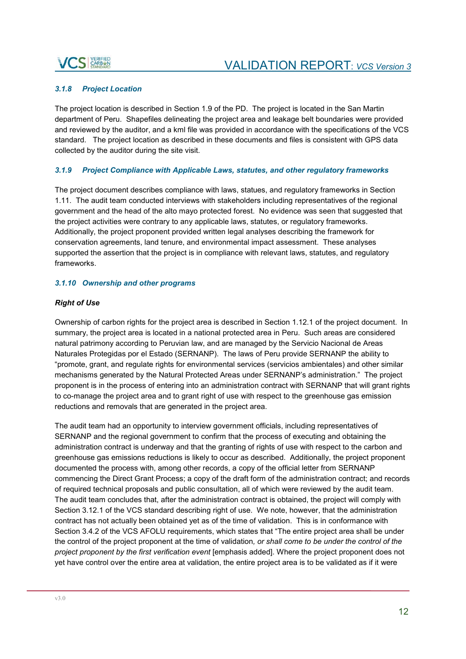

### *3.1.8 Project Location*

The project location is described in Section 1.9 of the PD. The project is located in the San Martin department of Peru. Shapefiles delineating the project area and leakage belt boundaries were provided and reviewed by the auditor, and a kml file was provided in accordance with the specifications of the VCS standard. The project location as described in these documents and files is consistent with GPS data collected by the auditor during the site visit.

### *3.1.9 Project Compliance with Applicable Laws, statutes, and other regulatory frameworks*

The project document describes compliance with laws, statues, and regulatory frameworks in Section 1.11. The audit team conducted interviews with stakeholders including representatives of the regional government and the head of the alto mayo protected forest. No evidence was seen that suggested that the project activities were contrary to any applicable laws, statutes, or regulatory frameworks. Additionally, the project proponent provided written legal analyses describing the framework for conservation agreements, land tenure, and environmental impact assessment. These analyses supported the assertion that the project is in compliance with relevant laws, statutes, and regulatory frameworks.

### *3.1.10 Ownership and other programs*

### *Right of Use*

Ownership of carbon rights for the project area is described in Section 1.12.1 of the project document. In summary, the project area is located in a national protected area in Peru. Such areas are considered natural patrimony according to Peruvian law, and are managed by the Servicio Nacional de Areas Naturales Protegidas por el Estado (SERNANP). The laws of Peru provide SERNANP the ability to "promote, grant, and regulate rights for environmental services (servicios ambientales) and other similar mechanisms generated by the Natural Protected Areas under SERNANP's administration." The project proponent is in the process of entering into an administration contract with SERNANP that will grant rights to co-manage the project area and to grant right of use with respect to the greenhouse gas emission reductions and removals that are generated in the project area.

The audit team had an opportunity to interview government officials, including representatives of SERNANP and the regional government to confirm that the process of executing and obtaining the administration contract is underway and that the granting of rights of use with respect to the carbon and greenhouse gas emissions reductions is likely to occur as described. Additionally, the project proponent documented the process with, among other records, a copy of the official letter from SERNANP commencing the Direct Grant Process; a copy of the draft form of the administration contract; and records of required technical proposals and public consultation, all of which were reviewed by the audit team. The audit team concludes that, after the administration contract is obtained, the project will comply with Section 3.12.1 of the VCS standard describing right of use. We note, however, that the administration contract has not actually been obtained yet as of the time of validation. This is in conformance with Section 3.4.2 of the VCS AFOLU requirements, which states that "The entire project area shall be under the control of the project proponent at the time of validation*, or shall come to be under the control of the project proponent by the first verification event* [emphasis added]. Where the project proponent does not yet have control over the entire area at validation, the entire project area is to be validated as if it were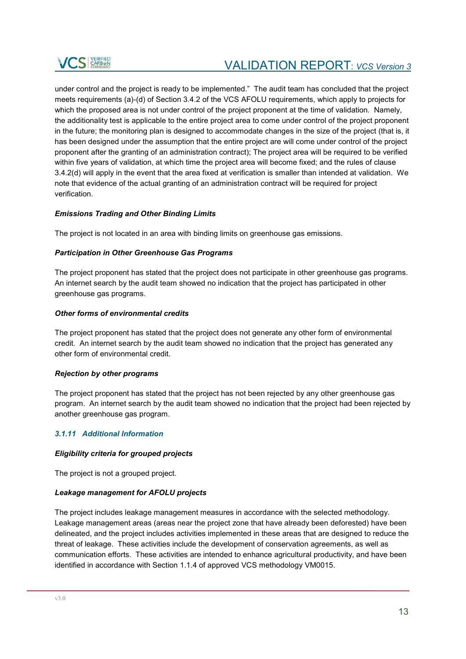

under control and the project is ready to be implemented." The audit team has concluded that the project meets requirements (a)-(d) of Section 3.4.2 of the VCS AFOLU requirements, which apply to projects for which the proposed area is not under control of the project proponent at the time of validation. Namely, the additionality test is applicable to the entire project area to come under control of the project proponent in the future; the monitoring plan is designed to accommodate changes in the size of the project (that is, it has been designed under the assumption that the entire project are will come under control of the project proponent after the granting of an administration contract); The project area will be required to be verified within five years of validation, at which time the project area will become fixed; and the rules of clause 3.4.2(d) will apply in the event that the area fixed at verification is smaller than intended at validation. We note that evidence of the actual granting of an administration contract will be required for project verification.

### *Emissions Trading and Other Binding Limits*

The project is not located in an area with binding limits on greenhouse gas emissions.

### *Participation in Other Greenhouse Gas Programs*

The project proponent has stated that the project does not participate in other greenhouse gas programs. An internet search by the audit team showed no indication that the project has participated in other greenhouse gas programs.

#### *Other forms of environmental credits*

The project proponent has stated that the project does not generate any other form of environmental credit. An internet search by the audit team showed no indication that the project has generated any other form of environmental credit.

### *Rejection by other programs*

The project proponent has stated that the project has not been rejected by any other greenhouse gas program. An internet search by the audit team showed no indication that the project had been rejected by another greenhouse gas program.

### *3.1.11 Additional Information*

#### *Eligibility criteria for grouped projects*

The project is not a grouped project.

#### *Leakage management for AFOLU projects*

The project includes leakage management measures in accordance with the selected methodology. Leakage management areas (areas near the project zone that have already been deforested) have been delineated, and the project includes activities implemented in these areas that are designed to reduce the threat of leakage. These activities include the development of conservation agreements, as well as communication efforts. These activities are intended to enhance agricultural productivity, and have been identified in accordance with Section 1.1.4 of approved VCS methodology VM0015.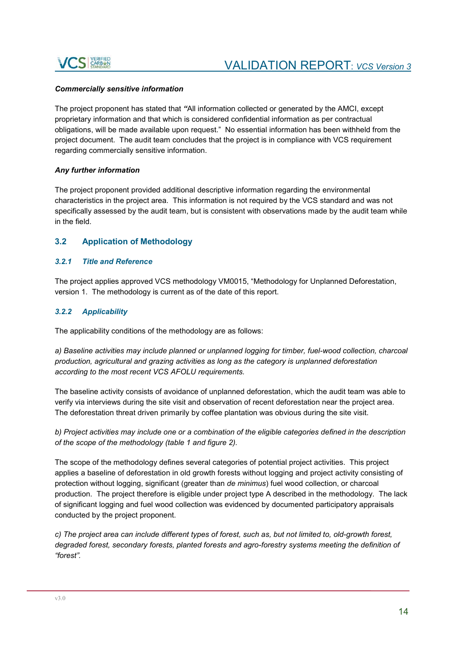

### *Commercially sensitive information*

The project proponent has stated that *"*All information collected or generated by the AMCI, except proprietary information and that which is considered confidential information as per contractual obligations, will be made available upon request." No essential information has been withheld from the project document. The audit team concludes that the project is in compliance with VCS requirement regarding commercially sensitive information.

### *Any further information*

The project proponent provided additional descriptive information regarding the environmental characteristics in the project area. This information is not required by the VCS standard and was not specifically assessed by the audit team, but is consistent with observations made by the audit team while in the field.

### **3.2 Application of Methodology**

### *3.2.1 Title and Reference*

The project applies approved VCS methodology VM0015, "Methodology for Unplanned Deforestation, version 1. The methodology is current as of the date of this report.

### *3.2.2 Applicability*

The applicability conditions of the methodology are as follows:

*a) Baseline activities may include planned or unplanned logging for timber, fuel-wood collection, charcoal production, agricultural and grazing activities as long as the category is unplanned deforestation according to the most recent VCS AFOLU requirements.* 

The baseline activity consists of avoidance of unplanned deforestation, which the audit team was able to verify via interviews during the site visit and observation of recent deforestation near the project area. The deforestation threat driven primarily by coffee plantation was obvious during the site visit.

*b) Project activities may include one or a combination of the eligible categories defined in the description of the scope of the methodology (table 1 and figure 2).* 

The scope of the methodology defines several categories of potential project activities. This project applies a baseline of deforestation in old growth forests without logging and project activity consisting of protection without logging, significant (greater than *de minimus*) fuel wood collection, or charcoal production. The project therefore is eligible under project type A described in the methodology. The lack of significant logging and fuel wood collection was evidenced by documented participatory appraisals conducted by the project proponent.

*c) The project area can include different types of forest, such as, but not limited to, old-growth forest, degraded forest, secondary forests, planted forests and agro-forestry systems meeting the definition of "forest".*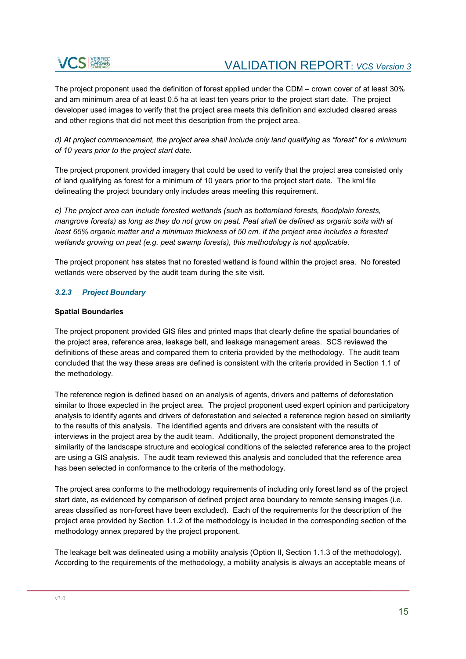

The project proponent used the definition of forest applied under the CDM – crown cover of at least 30% and am minimum area of at least 0.5 ha at least ten years prior to the project start date. The project developer used images to verify that the project area meets this definition and excluded cleared areas and other regions that did not meet this description from the project area.

*d) At project commencement, the project area shall include only land qualifying as "forest" for a minimum of 10 years prior to the project start date.* 

The project proponent provided imagery that could be used to verify that the project area consisted only of land qualifying as forest for a minimum of 10 years prior to the project start date. The kml file delineating the project boundary only includes areas meeting this requirement.

*e) The project area can include forested wetlands (such as bottomland forests, floodplain forests, mangrove forests) as long as they do not grow on peat. Peat shall be defined as organic soils with at least 65% organic matter and a minimum thickness of 50 cm. If the project area includes a forested wetlands growing on peat (e.g. peat swamp forests), this methodology is not applicable.* 

The project proponent has states that no forested wetland is found within the project area. No forested wetlands were observed by the audit team during the site visit.

### *3.2.3 Project Boundary*

### **Spatial Boundaries**

The project proponent provided GIS files and printed maps that clearly define the spatial boundaries of the project area, reference area, leakage belt, and leakage management areas. SCS reviewed the definitions of these areas and compared them to criteria provided by the methodology. The audit team concluded that the way these areas are defined is consistent with the criteria provided in Section 1.1 of the methodology.

The reference region is defined based on an analysis of agents, drivers and patterns of deforestation similar to those expected in the project area. The project proponent used expert opinion and participatory analysis to identify agents and drivers of deforestation and selected a reference region based on similarity to the results of this analysis. The identified agents and drivers are consistent with the results of interviews in the project area by the audit team. Additionally, the project proponent demonstrated the similarity of the landscape structure and ecological conditions of the selected reference area to the project are using a GIS analysis. The audit team reviewed this analysis and concluded that the reference area has been selected in conformance to the criteria of the methodology.

The project area conforms to the methodology requirements of including only forest land as of the project start date, as evidenced by comparison of defined project area boundary to remote sensing images (i.e. areas classified as non-forest have been excluded). Each of the requirements for the description of the project area provided by Section 1.1.2 of the methodology is included in the corresponding section of the methodology annex prepared by the project proponent.

The leakage belt was delineated using a mobility analysis (Option II, Section 1.1.3 of the methodology). According to the requirements of the methodology, a mobility analysis is always an acceptable means of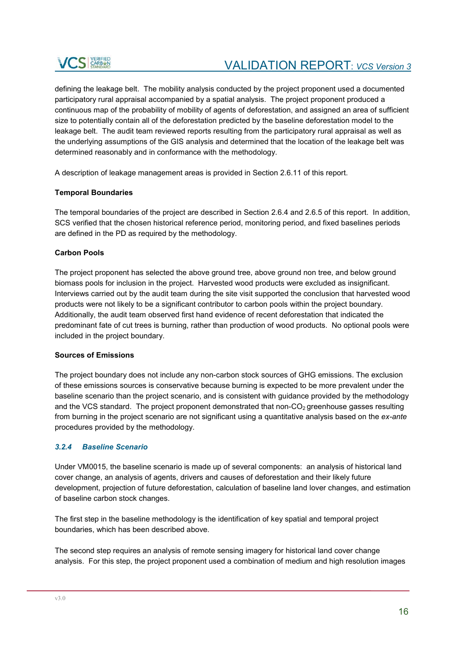defining the leakage belt. The mobility analysis conducted by the project proponent used a documented participatory rural appraisal accompanied by a spatial analysis. The project proponent produced a continuous map of the probability of mobility of agents of deforestation, and assigned an area of sufficient size to potentially contain all of the deforestation predicted by the baseline deforestation model to the leakage belt. The audit team reviewed reports resulting from the participatory rural appraisal as well as the underlying assumptions of the GIS analysis and determined that the location of the leakage belt was determined reasonably and in conformance with the methodology.

A description of leakage management areas is provided in Section 2.6.11 of this report.

### **Temporal Boundaries**

The temporal boundaries of the project are described in Section 2.6.4 and 2.6.5 of this report. In addition, SCS verified that the chosen historical reference period, monitoring period, and fixed baselines periods are defined in the PD as required by the methodology.

### **Carbon Pools**

The project proponent has selected the above ground tree, above ground non tree, and below ground biomass pools for inclusion in the project. Harvested wood products were excluded as insignificant. Interviews carried out by the audit team during the site visit supported the conclusion that harvested wood products were not likely to be a significant contributor to carbon pools within the project boundary. Additionally, the audit team observed first hand evidence of recent deforestation that indicated the predominant fate of cut trees is burning, rather than production of wood products. No optional pools were included in the project boundary.

### **Sources of Emissions**

The project boundary does not include any non-carbon stock sources of GHG emissions. The exclusion of these emissions sources is conservative because burning is expected to be more prevalent under the baseline scenario than the project scenario, and is consistent with guidance provided by the methodology and the VCS standard. The project proponent demonstrated that non- $CO<sub>2</sub>$  greenhouse gasses resulting from burning in the project scenario are not significant using a quantitative analysis based on the *ex-ante* procedures provided by the methodology.

### *3.2.4 Baseline Scenario*

Under VM0015, the baseline scenario is made up of several components: an analysis of historical land cover change, an analysis of agents, drivers and causes of deforestation and their likely future development, projection of future deforestation, calculation of baseline land lover changes, and estimation of baseline carbon stock changes.

The first step in the baseline methodology is the identification of key spatial and temporal project boundaries, which has been described above.

The second step requires an analysis of remote sensing imagery for historical land cover change analysis. For this step, the project proponent used a combination of medium and high resolution images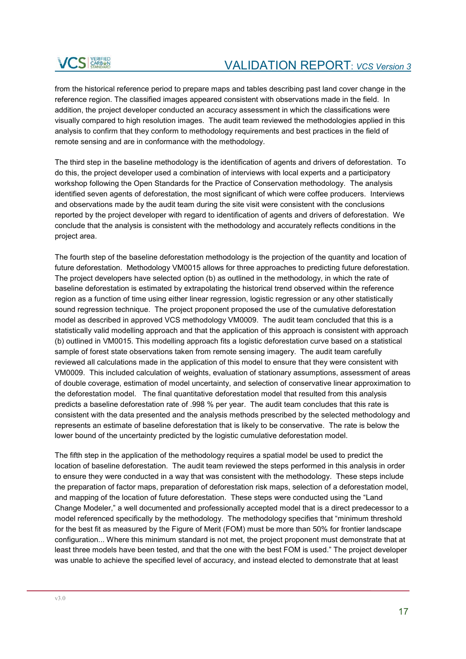from the historical reference period to prepare maps and tables describing past land cover change in the reference region. The classified images appeared consistent with observations made in the field. In addition, the project developer conducted an accuracy assessment in which the classifications were visually compared to high resolution images. The audit team reviewed the methodologies applied in this analysis to confirm that they conform to methodology requirements and best practices in the field of remote sensing and are in conformance with the methodology.

The third step in the baseline methodology is the identification of agents and drivers of deforestation. To do this, the project developer used a combination of interviews with local experts and a participatory workshop following the Open Standards for the Practice of Conservation methodology. The analysis identified seven agents of deforestation, the most significant of which were coffee producers. Interviews and observations made by the audit team during the site visit were consistent with the conclusions reported by the project developer with regard to identification of agents and drivers of deforestation. We conclude that the analysis is consistent with the methodology and accurately reflects conditions in the project area.

The fourth step of the baseline deforestation methodology is the projection of the quantity and location of future deforestation. Methodology VM0015 allows for three approaches to predicting future deforestation. The project developers have selected option (b) as outlined in the methodology, in which the rate of baseline deforestation is estimated by extrapolating the historical trend observed within the reference region as a function of time using either linear regression, logistic regression or any other statistically sound regression technique. The project proponent proposed the use of the cumulative deforestation model as described in approved VCS methodology VM0009. The audit team concluded that this is a statistically valid modelling approach and that the application of this approach is consistent with approach (b) outlined in VM0015. This modelling approach fits a logistic deforestation curve based on a statistical sample of forest state observations taken from remote sensing imagery. The audit team carefully reviewed all calculations made in the application of this model to ensure that they were consistent with VM0009. This included calculation of weights, evaluation of stationary assumptions, assessment of areas of double coverage, estimation of model uncertainty, and selection of conservative linear approximation to the deforestation model. The final quantitative deforestation model that resulted from this analysis predicts a baseline deforestation rate of .998 % per year. The audit team concludes that this rate is consistent with the data presented and the analysis methods prescribed by the selected methodology and represents an estimate of baseline deforestation that is likely to be conservative. The rate is below the lower bound of the uncertainty predicted by the logistic cumulative deforestation model.

The fifth step in the application of the methodology requires a spatial model be used to predict the location of baseline deforestation. The audit team reviewed the steps performed in this analysis in order to ensure they were conducted in a way that was consistent with the methodology. These steps include the preparation of factor maps, preparation of deforestation risk maps, selection of a deforestation model, and mapping of the location of future deforestation. These steps were conducted using the "Land Change Modeler," a well documented and professionally accepted model that is a direct predecessor to a model referenced specifically by the methodology. The methodology specifies that "minimum threshold for the best fit as measured by the Figure of Merit (FOM) must be more than 50% for frontier landscape configuration... Where this minimum standard is not met, the project proponent must demonstrate that at least three models have been tested, and that the one with the best FOM is used." The project developer was unable to achieve the specified level of accuracy, and instead elected to demonstrate that at least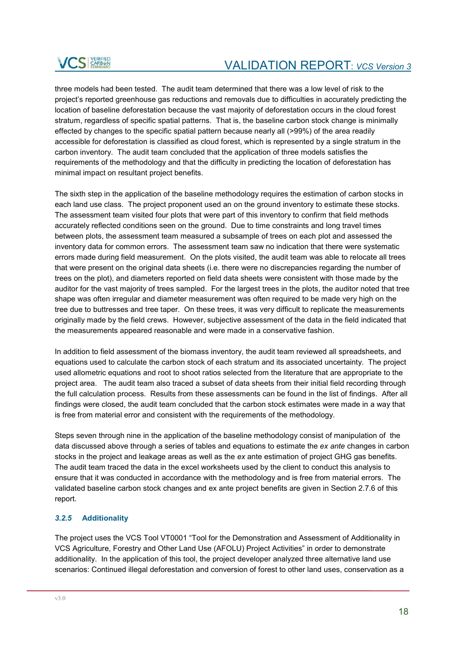

three models had been tested. The audit team determined that there was a low level of risk to the project's reported greenhouse gas reductions and removals due to difficulties in accurately predicting the location of baseline deforestation because the vast majority of deforestation occurs in the cloud forest stratum, regardless of specific spatial patterns. That is, the baseline carbon stock change is minimally effected by changes to the specific spatial pattern because nearly all (>99%) of the area readily accessible for deforestation is classified as cloud forest, which is represented by a single stratum in the carbon inventory. The audit team concluded that the application of three models satisfies the requirements of the methodology and that the difficulty in predicting the location of deforestation has minimal impact on resultant project benefits.

The sixth step in the application of the baseline methodology requires the estimation of carbon stocks in each land use class. The project proponent used an on the ground inventory to estimate these stocks. The assessment team visited four plots that were part of this inventory to confirm that field methods accurately reflected conditions seen on the ground. Due to time constraints and long travel times between plots, the assessment team measured a subsample of trees on each plot and assessed the inventory data for common errors. The assessment team saw no indication that there were systematic errors made during field measurement. On the plots visited, the audit team was able to relocate all trees that were present on the original data sheets (i.e. there were no discrepancies regarding the number of trees on the plot), and diameters reported on field data sheets were consistent with those made by the auditor for the vast majority of trees sampled. For the largest trees in the plots, the auditor noted that tree shape was often irregular and diameter measurement was often required to be made very high on the tree due to buttresses and tree taper. On these trees, it was very difficult to replicate the measurements originally made by the field crews. However, subjective assessment of the data in the field indicated that the measurements appeared reasonable and were made in a conservative fashion.

In addition to field assessment of the biomass inventory, the audit team reviewed all spreadsheets, and equations used to calculate the carbon stock of each stratum and its associated uncertainty. The project used allometric equations and root to shoot ratios selected from the literature that are appropriate to the project area. The audit team also traced a subset of data sheets from their initial field recording through the full calculation process. Results from these assessments can be found in the list of findings. After all findings were closed, the audit team concluded that the carbon stock estimates were made in a way that is free from material error and consistent with the requirements of the methodology.

Steps seven through nine in the application of the baseline methodology consist of manipulation of the data discussed above through a series of tables and equations to estimate the *ex ante* changes in carbon stocks in the project and leakage areas as well as the *ex* ante estimation of project GHG gas benefits. The audit team traced the data in the excel worksheets used by the client to conduct this analysis to ensure that it was conducted in accordance with the methodology and is free from material errors. The validated baseline carbon stock changes and ex ante project benefits are given in Section 2.7.6 of this report.

### *3.2.5* **Additionality**

The project uses the VCS Tool VT0001 "Tool for the Demonstration and Assessment of Additionality in VCS Agriculture, Forestry and Other Land Use (AFOLU) Project Activities" in order to demonstrate additionality. In the application of this tool, the project developer analyzed three alternative land use scenarios: Continued illegal deforestation and conversion of forest to other land uses, conservation as a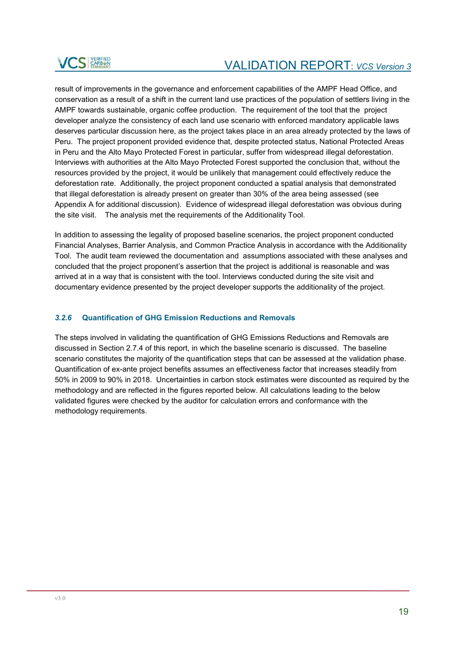result of improvements in the governance and enforcement capabilities of the AMPF Head Office, and conservation as a result of a shift in the current land use practices of the population of settlers living in the AMPF towards sustainable, organic coffee production. The requirement of the tool that the project developer analyze the consistency of each land use scenario with enforced mandatory applicable laws deserves particular discussion here, as the project takes place in an area already protected by the laws of Peru. The project proponent provided evidence that, despite protected status, National Protected Areas in Peru and the Alto Mayo Protected Forest in particular, suffer from widespread illegal deforestation. Interviews with authorities at the Alto Mayo Protected Forest supported the conclusion that, without the resources provided by the project, it would be unlikely that management could effectively reduce the deforestation rate. Additionally, the project proponent conducted a spatial analysis that demonstrated that illegal deforestation is already present on greater than 30% of the area being assessed (see Appendix A for additional discussion). Evidence of widespread illegal deforestation was obvious during the site visit. The analysis met the requirements of the Additionality Tool.

In addition to assessing the legality of proposed baseline scenarios, the project proponent conducted Financial Analyses, Barrier Analysis, and Common Practice Analysis in accordance with the Additionality Tool. The audit team reviewed the documentation and assumptions associated with these analyses and concluded that the project proponent's assertion that the project is additional is reasonable and was arrived at in a way that is consistent with the tool. Interviews conducted during the site visit and documentary evidence presented by the project developer supports the additionality of the project.

### *3.2.6* **Quantification of GHG Emission Reductions and Removals**

The steps involved in validating the quantification of GHG Emissions Reductions and Removals are discussed in Section 2.7.4 of this report, in which the baseline scenario is discussed. The baseline scenario constitutes the majority of the quantification steps that can be assessed at the validation phase. Quantification of ex-ante project benefits assumes an effectiveness factor that increases steadily from 50% in 2009 to 90% in 2018. Uncertainties in carbon stock estimates were discounted as required by the methodology and are reflected in the figures reported below. All calculations leading to the below validated figures were checked by the auditor for calculation errors and conformance with the methodology requirements.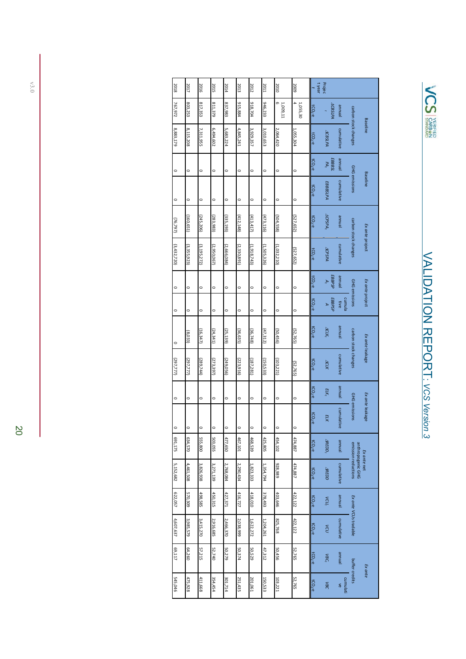

| 2018        | 2017          | 2016          | 2015        | 2014        | 2013          | 2012        | 2011        | 2010            | 2009                                 | t year    | Projec                           |                |                                          |                 |
|-------------|---------------|---------------|-------------|-------------|---------------|-------------|-------------|-----------------|--------------------------------------|-----------|----------------------------------|----------------|------------------------------------------|-----------------|
| 767,972     | 803,253       | 817,353       | 811,379     | 837,983     | 915,884       | 918,704     | 946,233     | $1,009,11$<br>6 | $\overline{\phantom{a}}$<br>1,055,30 | $tCO2$ -e | <b>ACBSLPA</b>                   | <b>Jenuue</b>  |                                          |                 |
| 8,883,179   | 8,115,208     | 7,311,955     | 6,494,602   | 5,683,224   | 4,845,241     | 3,929,357   | 3,010,653   | 2,064,420       | 1,055,304                            | $tCO2$ -e | <b>ACBSLPA</b>                   | cumulative     | carbon stock changes                     | <b>Baseline</b> |
| $\circ$     | $\circ$       | $\circ$       | $\circ$     | $\circ$     | $\circ$       | $\circ$     | $\circ$     | $\circ$         | $\circ$                              | $tCO2$ -e | <b>EBBBSL</b><br>PA <sub>t</sub> | leunne         |                                          |                 |
| $\circ$     | $\circ$       | $\circ$       | $\circ$     | $\circ$     | $\circ$       | $\circ$     | $\circ$     | $\circ$         | $\circ$                              | $tCO2$ -e | EBBBSLPA                         | cumulative     | GHG emissions                            | <b>Baseline</b> |
| (76, 797)   | (160, 651)    | (245, 206)    | (283,983)   | (335, 193)  | (412, 148)    | (413, 417)  | (473, 116)  | (504,558)       | (527,652)                            | $tCO2$ -e | ACPSPA <sub>t</sub>              | leunne         |                                          |                 |
| (3,432,720) | (3, 355, 923) | (3, 195, 272) | (2,950,067) | (2,666,084) | (2, 330, 891) | (1,918,743) | (1,505,326) | (1,032,210)     | (527,652)                            | $tCO2$ -e | ACPSPA                           | cumulative     | carbon stock changes                     | Ex ante project |
| $\circ$     | $\circ$       | $\circ$       | $\circ$     | $\circ$     | $\circ$       | $\circ$     | $\circ$     | $\circ$         | $\circ$                              | $tCO2$ -e | EBBPSP<br>A <sub>t</sub>         | <b>Jenuue</b>  |                                          |                 |
| $\circ$     | $\circ$       | $\circ$       | $\circ$     | $\circ$     | $\circ$       | $\circ$     | $\circ$     | $\circ$         | $\circ$                              | $tCO2$ -e | EBBPSP<br>A                      | cumula<br>tive | GHG emissions                            | Ex ante project |
| $\circ$     | (8,033)       | (16, 347)     | (24, 341)   | (25, 139)   | (36,635)      | (36,748)    | (47, 312)   | (50,456)        | (52,765)                             | $tCO2$ -e | $ACK_t$                          | Jenuue         |                                          |                 |
| (297,777)   | (297,777)     | (289,744)     | (273,397)   | (249, 056)  | (223, 916)    | (187, 281)  | (150,533)   | (103, 221)      | (52,765)                             | $tCO2$ -e | <b>ACLK</b>                      | cumulative     | carbon stock changes                     | Ex ante leakage |
| $\circ$     | $\circ$       | $\circ$       | $\circ$     | $\circ$     | $\circ$       | $\circ$     | $\circ$     | $\circ$         | $\circ$                              | $tCO2$ -e | ELK <sub>t</sub>                 | <b>Jenuue</b>  |                                          |                 |
| $\circ$     | $\circ$       | $\circ$       | $\circ$     | $\circ$     | $\circ$       | $\circ$     | $\circ$     | $\circ$         |                                      | $tCO2$ -e | ELK                              | cumulative     | GHG emissions                            | Ex ante leakage |
| 691,175     | 634,570       | 555,800       | 503,055     | 477,650     | 467,101       | 468,539     | 425,805     | 454,102         | 474,887                              | $tCO2$ -e | $\triangle$ REDD <sub>t</sub>    | launna         |                                          |                 |
| 5,152,682   | 4,461,508     | 3,826,938     | 3,271,139   | 2,768,084   | 2,290,434     | 1,823,333   | 1,354,794   | 928,989         | 474,887                              | $tCO2$ -e | <b>AREDD</b>                     | cumulative     | anthropogenic GHG<br>emission reductions | Ex ante net     |
| 622,057     | 570,309       | 498,585       | 450,315     | 427,371     | 416,727       | 418,010     | 378,493     | 403,646         | 422,122                              | $tCO2$ -e | vcu <sub>r</sub>                 | Jenuue         |                                          |                 |
| 4,607,637   | 3,985,579     | 3,415,270     | 2,916,685   | 2,466,370   | 2,038,999     | 1,622,272   | 1,204,261   | 825,768         | 422,122                              | $tCO2$ -e | VCU                              | cumulative     | Ex ante VCUs tradable                    |                 |
| 69,117      | 64,260        | 57,215        | 52,740      | 50,279      | 50,374        | 50,529      | 47,312      | 50,456          | 52,765                               | $tCO2$ -e | VBC <sub>r</sub>                 | launnal        |                                          |                 |
| 545,046     | 475,928       | 411,668       | 354,454     | 301,714     | 251,435       | 201,061     | 150,533     | 103,221         | 52,765                               | $tCO2-e$  | VBC                              | cumulati<br>ve | buffer credits                           | Ex ante         |
|             |               |               |             |             |               |             |             |                 |                                      |           |                                  |                |                                          |                 |

v3.0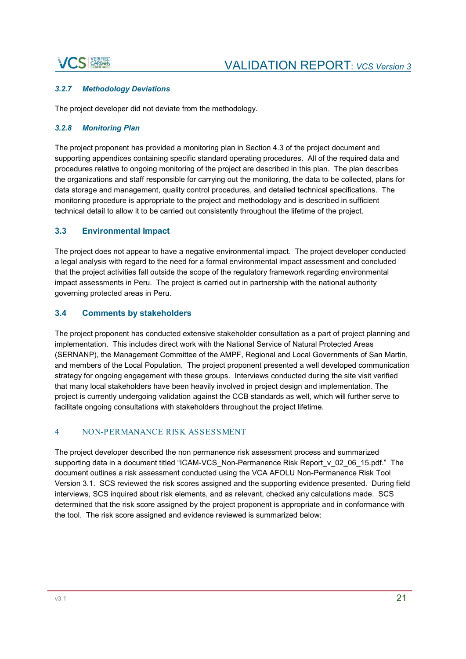### **S** CARBEN

### *3.2.7 Methodology Deviations*

The project developer did not deviate from the methodology.

### *3.2.8 Monitoring Plan*

The project proponent has provided a monitoring plan in Section 4.3 of the project document and supporting appendices containing specific standard operating procedures. All of the required data and procedures relative to ongoing monitoring of the project are described in this plan. The plan describes the organizations and staff responsible for carrying out the monitoring, the data to be collected, plans for data storage and management, quality control procedures, and detailed technical specifications. The monitoring procedure is appropriate to the project and methodology and is described in sufficient technical detail to allow it to be carried out consistently throughout the lifetime of the project.

### **3.3 Environmental Impact**

The project does not appear to have a negative environmental impact. The project developer conducted a legal analysis with regard to the need for a formal environmental impact assessment and concluded that the project activities fall outside the scope of the regulatory framework regarding environmental impact assessments in Peru. The project is carried out in partnership with the national authority governing protected areas in Peru.

### **3.4 Comments by stakeholders**

The project proponent has conducted extensive stakeholder consultation as a part of project planning and implementation. This includes direct work with the National Service of Natural Protected Areas (SERNANP), the Management Committee of the AMPF, Regional and Local Governments of San Martin, and members of the Local Population. The project proponent presented a well developed communication strategy for ongoing engagement with these groups. Interviews conducted during the site visit verified that many local stakeholders have been heavily involved in project design and implementation. The project is currently undergoing validation against the CCB standards as well, which will further serve to facilitate ongoing consultations with stakeholders throughout the project lifetime.

### 4 NON-PERMANANCE RISK ASSESSMENT

The project developer described the non permanence risk assessment process and summarized supporting data in a document titled "ICAM-VCS\_Non-Permanence Risk Report v\_02\_06\_15.pdf." The document outlines a risk assessment conducted using the VCA AFOLU Non-Permanence Risk Tool Version 3.1. SCS reviewed the risk scores assigned and the supporting evidence presented. During field interviews, SCS inquired about risk elements, and as relevant, checked any calculations made. SCS determined that the risk score assigned by the project proponent is appropriate and in conformance with the tool. The risk score assigned and evidence reviewed is summarized below: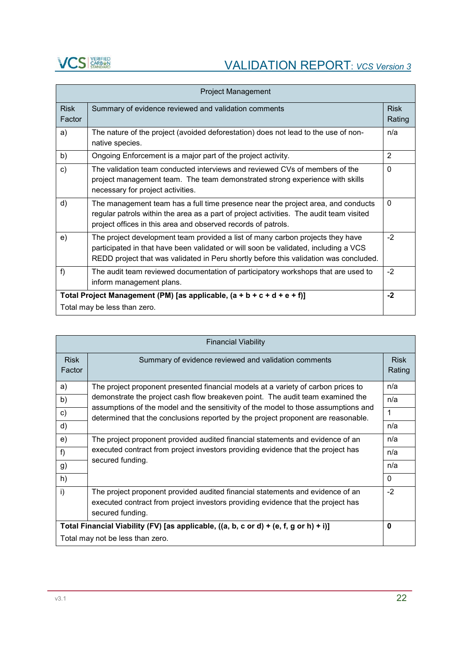

# **VCS** STARBED VALIDATION REPORT: *VCS Version 3*

| <b>Project Management</b>                                                 |                                                                                                                                                                                                                                                                |                       |  |  |
|---------------------------------------------------------------------------|----------------------------------------------------------------------------------------------------------------------------------------------------------------------------------------------------------------------------------------------------------------|-----------------------|--|--|
| <b>Risk</b><br>Factor                                                     | Summary of evidence reviewed and validation comments                                                                                                                                                                                                           | <b>Risk</b><br>Rating |  |  |
| a)                                                                        | The nature of the project (avoided deforestation) does not lead to the use of non-<br>native species.                                                                                                                                                          | n/a                   |  |  |
| b)                                                                        | Ongoing Enforcement is a major part of the project activity.                                                                                                                                                                                                   | 2                     |  |  |
| $\mathbf{C}$                                                              | The validation team conducted interviews and reviewed CVs of members of the<br>project management team. The team demonstrated strong experience with skills<br>necessary for project activities.                                                               | $\Omega$              |  |  |
| d)                                                                        | The management team has a full time presence near the project area, and conducts<br>regular patrols within the area as a part of project activities. The audit team visited<br>project offices in this area and observed records of patrols.                   | $\Omega$              |  |  |
| e)                                                                        | The project development team provided a list of many carbon projects they have<br>participated in that have been validated or will soon be validated, including a VCS<br>REDD project that was validated in Peru shortly before this validation was concluded. | $-2$                  |  |  |
| f                                                                         | The audit team reviewed documentation of participatory workshops that are used to<br>inform management plans.                                                                                                                                                  | $-2$                  |  |  |
| Total Project Management (PM) [as applicable, $(a + b + c + d + e + f)$ ] |                                                                                                                                                                                                                                                                |                       |  |  |
| Total may be less than zero.                                              |                                                                                                                                                                                                                                                                |                       |  |  |

| <b>Financial Viability</b>                                                                                                                                                                   |                                                                                                                                                                         |                       |  |  |  |
|----------------------------------------------------------------------------------------------------------------------------------------------------------------------------------------------|-------------------------------------------------------------------------------------------------------------------------------------------------------------------------|-----------------------|--|--|--|
| <b>Risk</b><br>Factor                                                                                                                                                                        | Summary of evidence reviewed and validation comments                                                                                                                    | <b>Risk</b><br>Rating |  |  |  |
| a)                                                                                                                                                                                           | The project proponent presented financial models at a variety of carbon prices to                                                                                       | n/a                   |  |  |  |
| b)                                                                                                                                                                                           | demonstrate the project cash flow breakeven point. The audit team examined the                                                                                          | n/a                   |  |  |  |
| c)                                                                                                                                                                                           | assumptions of the model and the sensitivity of the model to those assumptions and<br>determined that the conclusions reported by the project proponent are reasonable. | $\mathbf{1}$          |  |  |  |
| d)                                                                                                                                                                                           |                                                                                                                                                                         |                       |  |  |  |
| e)                                                                                                                                                                                           | The project proponent provided audited financial statements and evidence of an                                                                                          | n/a                   |  |  |  |
| f                                                                                                                                                                                            | executed contract from project investors providing evidence that the project has                                                                                        |                       |  |  |  |
| g)                                                                                                                                                                                           | secured funding.                                                                                                                                                        |                       |  |  |  |
| h)                                                                                                                                                                                           |                                                                                                                                                                         |                       |  |  |  |
| i)<br>The project proponent provided audited financial statements and evidence of an<br>executed contract from project investors providing evidence that the project has<br>secured funding. |                                                                                                                                                                         |                       |  |  |  |
| Total Financial Viability (FV) [as applicable, ((a, b, c or d) + (e, f, g or h) + i)]                                                                                                        |                                                                                                                                                                         |                       |  |  |  |
| Total may not be less than zero.                                                                                                                                                             |                                                                                                                                                                         |                       |  |  |  |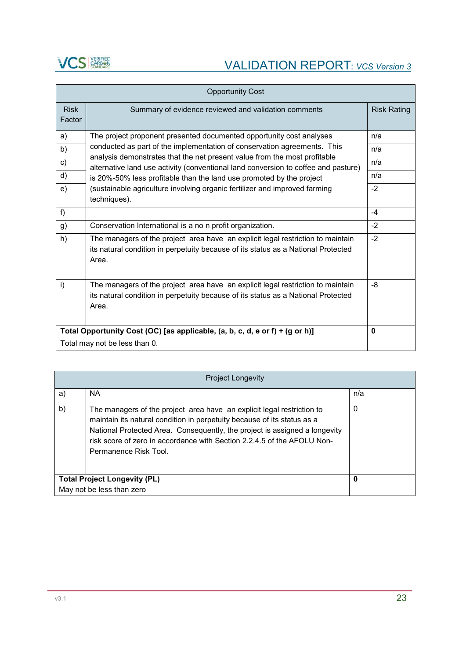

|                                                                              | <b>Opportunity Cost</b>                                                                                                                                                       |                    |  |  |  |
|------------------------------------------------------------------------------|-------------------------------------------------------------------------------------------------------------------------------------------------------------------------------|--------------------|--|--|--|
| <b>Risk</b><br>Factor                                                        | Summary of evidence reviewed and validation comments                                                                                                                          | <b>Risk Rating</b> |  |  |  |
| a)                                                                           | The project proponent presented documented opportunity cost analyses                                                                                                          | n/a                |  |  |  |
| b)                                                                           | conducted as part of the implementation of conservation agreements. This<br>analysis demonstrates that the net present value from the most profitable                         | n/a                |  |  |  |
| c)                                                                           | alternative land use activity (conventional land conversion to coffee and pasture)                                                                                            | n/a                |  |  |  |
| $\mathsf{d}$ )                                                               | is 20%-50% less profitable than the land use promoted by the project                                                                                                          | n/a                |  |  |  |
| e)                                                                           | (sustainable agriculture involving organic fertilizer and improved farming<br>techniques).                                                                                    | $-2$               |  |  |  |
| f)                                                                           |                                                                                                                                                                               | $-4$               |  |  |  |
| g)                                                                           | Conservation International is a no n profit organization.                                                                                                                     | $-2$               |  |  |  |
| h)                                                                           | The managers of the project area have an explicit legal restriction to maintain<br>its natural condition in perpetuity because of its status as a National Protected<br>Area. | $-2$               |  |  |  |
| i)                                                                           | The managers of the project area have an explicit legal restriction to maintain<br>its natural condition in perpetuity because of its status as a National Protected<br>Area. | -8                 |  |  |  |
| Total Opportunity Cost (OC) [as applicable, (a, b, c, d, e or f) + (g or h)] |                                                                                                                                                                               |                    |  |  |  |
| Total may not be less than 0.                                                |                                                                                                                                                                               |                    |  |  |  |

|                                          | <b>Project Longevity</b>                                                                                                                                                                                                                                                                                                            |     |  |  |  |
|------------------------------------------|-------------------------------------------------------------------------------------------------------------------------------------------------------------------------------------------------------------------------------------------------------------------------------------------------------------------------------------|-----|--|--|--|
| a)                                       | NA.                                                                                                                                                                                                                                                                                                                                 | n/a |  |  |  |
| b)                                       | The managers of the project area have an explicit legal restriction to<br>maintain its natural condition in perpetuity because of its status as a<br>National Protected Area. Consequently, the project is assigned a longevity<br>risk score of zero in accordance with Section 2.2.4.5 of the AFOLU Non-<br>Permanence Risk Tool. | 0   |  |  |  |
| <b>Total Project Longevity (PL)</b><br>0 |                                                                                                                                                                                                                                                                                                                                     |     |  |  |  |
|                                          | May not be less than zero                                                                                                                                                                                                                                                                                                           |     |  |  |  |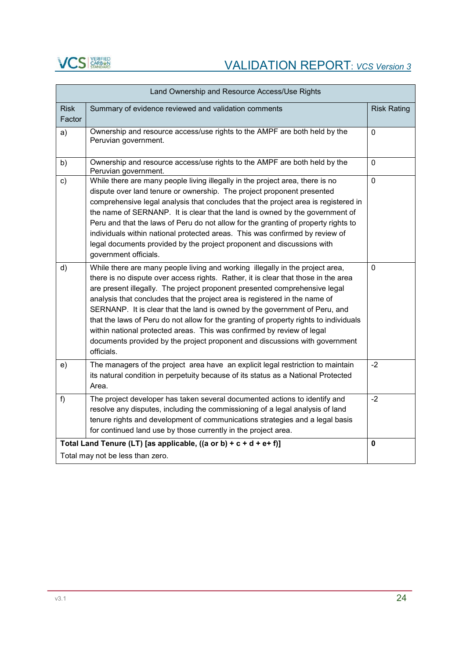

| Land Ownership and Resource Access/Use Rights                         |                                                                                                                                                                                                                                                                                                                                                                                                                                                                                                                                                                                                                                                                               |                    |  |  |
|-----------------------------------------------------------------------|-------------------------------------------------------------------------------------------------------------------------------------------------------------------------------------------------------------------------------------------------------------------------------------------------------------------------------------------------------------------------------------------------------------------------------------------------------------------------------------------------------------------------------------------------------------------------------------------------------------------------------------------------------------------------------|--------------------|--|--|
| <b>Risk</b><br>Factor                                                 | Summary of evidence reviewed and validation comments                                                                                                                                                                                                                                                                                                                                                                                                                                                                                                                                                                                                                          | <b>Risk Rating</b> |  |  |
| a)                                                                    | Ownership and resource access/use rights to the AMPF are both held by the<br>Peruvian government.                                                                                                                                                                                                                                                                                                                                                                                                                                                                                                                                                                             | $\mathbf 0$        |  |  |
| b)                                                                    | Ownership and resource access/use rights to the AMPF are both held by the<br>Peruvian government.                                                                                                                                                                                                                                                                                                                                                                                                                                                                                                                                                                             | $\mathbf 0$        |  |  |
| c)                                                                    | While there are many people living illegally in the project area, there is no<br>dispute over land tenure or ownership. The project proponent presented<br>comprehensive legal analysis that concludes that the project area is registered in<br>the name of SERNANP. It is clear that the land is owned by the government of<br>Peru and that the laws of Peru do not allow for the granting of property rights to<br>individuals within national protected areas. This was confirmed by review of<br>legal documents provided by the project proponent and discussions with<br>government officials.                                                                        | $\mathbf 0$        |  |  |
| d)                                                                    | While there are many people living and working illegally in the project area,<br>there is no dispute over access rights. Rather, it is clear that those in the area<br>are present illegally. The project proponent presented comprehensive legal<br>analysis that concludes that the project area is registered in the name of<br>SERNANP. It is clear that the land is owned by the government of Peru, and<br>that the laws of Peru do not allow for the granting of property rights to individuals<br>within national protected areas. This was confirmed by review of legal<br>documents provided by the project proponent and discussions with government<br>officials. | $\mathbf 0$        |  |  |
| e)                                                                    | The managers of the project area have an explicit legal restriction to maintain<br>its natural condition in perpetuity because of its status as a National Protected<br>Area.                                                                                                                                                                                                                                                                                                                                                                                                                                                                                                 | $-2$               |  |  |
| $f$ )                                                                 | The project developer has taken several documented actions to identify and<br>resolve any disputes, including the commissioning of a legal analysis of land<br>tenure rights and development of communications strategies and a legal basis<br>for continued land use by those currently in the project area.                                                                                                                                                                                                                                                                                                                                                                 | $-2$               |  |  |
| Total Land Tenure (LT) [as applicable, ((a or b) + $c + d + e + f$ )] |                                                                                                                                                                                                                                                                                                                                                                                                                                                                                                                                                                                                                                                                               |                    |  |  |
| Total may not be less than zero.                                      |                                                                                                                                                                                                                                                                                                                                                                                                                                                                                                                                                                                                                                                                               |                    |  |  |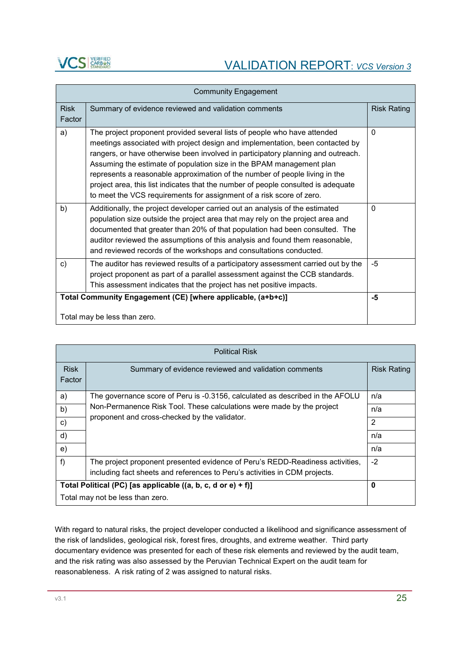

| <b>Community Engagement</b>                                                                                                                                                                                                                      |                                                                                                                                                                                                                                                                                                                                                                                                                                                                                                                                                                   |                    |  |  |
|--------------------------------------------------------------------------------------------------------------------------------------------------------------------------------------------------------------------------------------------------|-------------------------------------------------------------------------------------------------------------------------------------------------------------------------------------------------------------------------------------------------------------------------------------------------------------------------------------------------------------------------------------------------------------------------------------------------------------------------------------------------------------------------------------------------------------------|--------------------|--|--|
| <b>Risk</b><br>Factor                                                                                                                                                                                                                            | Summary of evidence reviewed and validation comments                                                                                                                                                                                                                                                                                                                                                                                                                                                                                                              | <b>Risk Rating</b> |  |  |
| a)                                                                                                                                                                                                                                               | The project proponent provided several lists of people who have attended<br>meetings associated with project design and implementation, been contacted by<br>rangers, or have otherwise been involved in participatory planning and outreach.<br>Assuming the estimate of population size in the BPAM management plan<br>represents a reasonable approximation of the number of people living in the<br>project area, this list indicates that the number of people consulted is adequate<br>to meet the VCS requirements for assignment of a risk score of zero. | $\Omega$           |  |  |
| b)                                                                                                                                                                                                                                               | Additionally, the project developer carried out an analysis of the estimated<br>population size outside the project area that may rely on the project area and<br>documented that greater than 20% of that population had been consulted. The<br>auditor reviewed the assumptions of this analysis and found them reasonable,<br>and reviewed records of the workshops and consultations conducted.                                                                                                                                                               | $\Omega$           |  |  |
| The auditor has reviewed results of a participatory assessment carried out by the<br>c)<br>project proponent as part of a parallel assessment against the CCB standards.<br>This assessment indicates that the project has net positive impacts. |                                                                                                                                                                                                                                                                                                                                                                                                                                                                                                                                                                   |                    |  |  |
| Total Community Engagement (CE) [where applicable, (a+b+c)]<br>Total may be less than zero.                                                                                                                                                      |                                                                                                                                                                                                                                                                                                                                                                                                                                                                                                                                                                   |                    |  |  |

| <b>Political Risk</b>                                        |                                                                                                                                                                                                         |                    |
|--------------------------------------------------------------|---------------------------------------------------------------------------------------------------------------------------------------------------------------------------------------------------------|--------------------|
| <b>Risk</b><br>Factor                                        | Summary of evidence reviewed and validation comments                                                                                                                                                    | <b>Risk Rating</b> |
| a)                                                           | The governance score of Peru is -0.3156, calculated as described in the AFOLU<br>Non-Permanence Risk Tool. These calculations were made by the project<br>proponent and cross-checked by the validator. | n/a                |
| b)                                                           |                                                                                                                                                                                                         | n/a                |
| c)                                                           |                                                                                                                                                                                                         | 2                  |
| d)                                                           |                                                                                                                                                                                                         | n/a                |
| e)                                                           |                                                                                                                                                                                                         | n/a                |
| f)                                                           | The project proponent presented evidence of Peru's REDD-Readiness activities,<br>including fact sheets and references to Peru's activities in CDM projects.                                             | $-2$               |
| Total Political (PC) [as applicable ((a, b, c, d or e) + f)] |                                                                                                                                                                                                         | 0                  |
|                                                              | Total may not be less than zero.                                                                                                                                                                        |                    |

With regard to natural risks, the project developer conducted a likelihood and significance assessment of the risk of landslides, geological risk, forest fires, droughts, and extreme weather. Third party documentary evidence was presented for each of these risk elements and reviewed by the audit team, and the risk rating was also assessed by the Peruvian Technical Expert on the audit team for reasonableness. A risk rating of 2 was assigned to natural risks.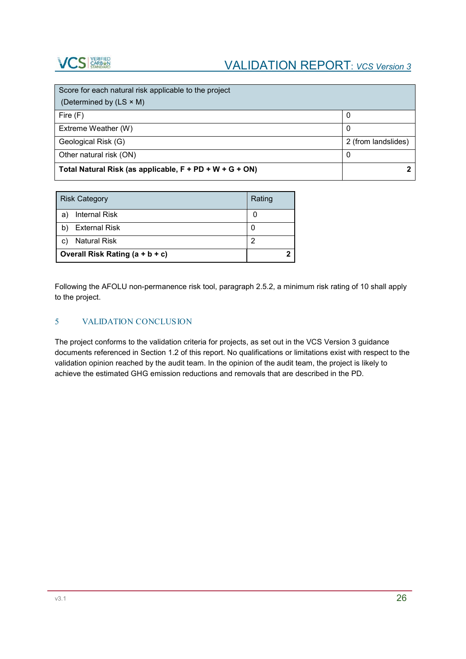

| Score for each natural risk applicable to the project   |                     |
|---------------------------------------------------------|---------------------|
| (Determined by (LS × M)                                 |                     |
| Fire $(F)$                                              |                     |
| Extreme Weather (W)                                     |                     |
| Geological Risk (G)                                     | 2 (from landslides) |
| Other natural risk (ON)                                 | 0                   |
| Total Natural Risk (as applicable, F + PD + W + G + ON) |                     |

|    | <b>Risk Category</b>            | Rating |
|----|---------------------------------|--------|
| a  | <b>Internal Risk</b>            |        |
|    | <b>External Risk</b>            | 0      |
| C) | <b>Natural Risk</b>             | 2      |
|    | Overall Risk Rating (a + b + c) |        |

Following the AFOLU non-permanence risk tool, paragraph 2.5.2, a minimum risk rating of 10 shall apply to the project.

### 5 VALIDATION CONCLUSION

The project conforms to the validation criteria for projects, as set out in the VCS Version 3 guidance documents referenced in Section 1.2 of this report. No qualifications or limitations exist with respect to the validation opinion reached by the audit team. In the opinion of the audit team, the project is likely to achieve the estimated GHG emission reductions and removals that are described in the PD.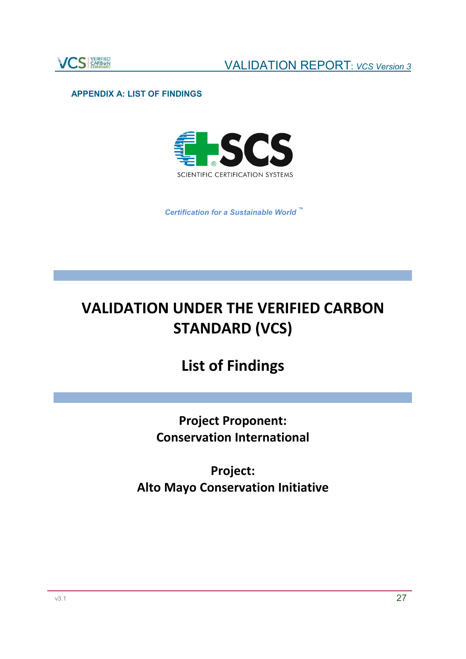

### **APPENDIX A: LIST OF FINDINGS**



*Certification for a Sustainable World ™*

# **VALIDATION UNDER THE VERIFIED CARBON STANDARD (VCS)**

# **List of Findings**

**Project Proponent: Conservation International**

**Project: Alto Mayo Conservation Initiative**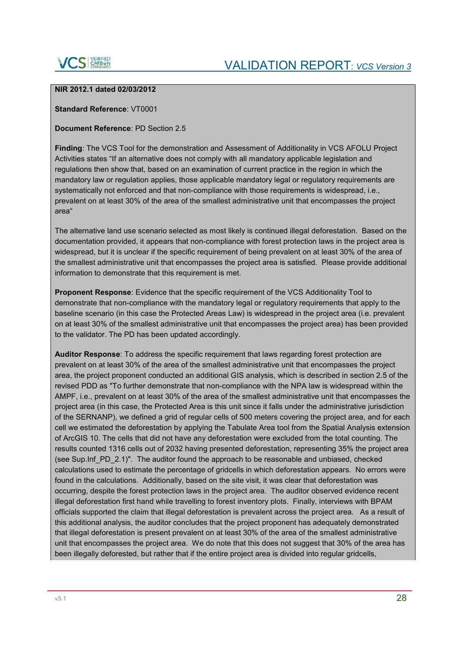

### **NIR 2012.1 dated 02/03/2012**

### **Standard Reference**: VT0001

### **Document Reference**: PD Section 2.5

**Finding**: The VCS Tool for the demonstration and Assessment of Additionality in VCS AFOLU Project Activities states "If an alternative does not comply with all mandatory applicable legislation and regulations then show that, based on an examination of current practice in the region in which the mandatory law or regulation applies, those applicable mandatory legal or regulatory requirements are systematically not enforced and that non-compliance with those requirements is widespread, i.e., prevalent on at least 30% of the area of the smallest administrative unit that encompasses the project area"

The alternative land use scenario selected as most likely is continued illegal deforestation. Based on the documentation provided, it appears that non-compliance with forest protection laws in the project area is widespread, but it is unclear if the specific requirement of being prevalent on at least 30% of the area of the smallest administrative unit that encompasses the project area is satisfied. Please provide additional information to demonstrate that this requirement is met.

**Proponent Response**: Evidence that the specific requirement of the VCS Additionality Tool to demonstrate that non-compliance with the mandatory legal or regulatory requirements that apply to the baseline scenario (in this case the Protected Areas Law) is widespread in the project area (i.e. prevalent on at least 30% of the smallest administrative unit that encompasses the project area) has been provided to the validator. The PD has been updated accordingly.

**Auditor Response**: To address the specific requirement that laws regarding forest protection are prevalent on at least 30% of the area of the smallest administrative unit that encompasses the project area, the project proponent conducted an additional GIS analysis, which is described in section 2.5 of the revised PDD as "To further demonstrate that non-compliance with the NPA law is widespread within the AMPF, i.e., prevalent on at least 30% of the area of the smallest administrative unit that encompasses the project area (in this case, the Protected Area is this unit since it falls under the administrative jurisdiction of the SERNANP), we defined a grid of regular cells of 500 meters covering the project area, and for each cell we estimated the deforestation by applying the Tabulate Area tool from the Spatial Analysis extension of ArcGIS 10. The cells that did not have any deforestation were excluded from the total counting. The results counted 1316 cells out of 2032 having presented deforestation, representing 35% the project area (see Sup.Inf\_PD\_2.1)". The auditor found the approach to be reasonable and unbiased, checked calculations used to estimate the percentage of gridcells in which deforestation appears. No errors were found in the calculations. Additionally, based on the site visit, it was clear that deforestation was occurring, despite the forest protection laws in the project area. The auditor observed evidence recent illegal deforestation first hand while travelling to forest inventory plots. Finally, interviews with BPAM officials supported the claim that illegal deforestation is prevalent across the project area. As a result of this additional analysis, the auditor concludes that the project proponent has adequately demonstrated that illegal deforestation is present prevalent on at least 30% of the area of the smallest administrative unit that encompasses the project area. We do note that this does not suggest that 30% of the area has been illegally deforested, but rather that if the entire project area is divided into regular gridcells,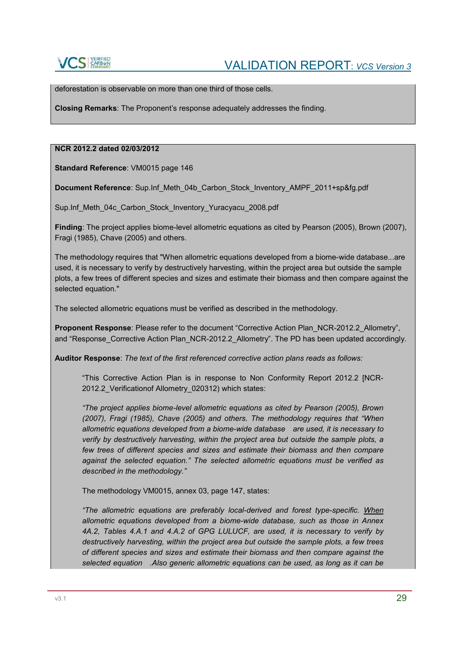deforestation is observable on more than one third of those cells.

**Closing Remarks**: The Proponent's response adequately addresses the finding.

### **NCR 2012.2 dated 02/03/2012**

**Standard Reference**: VM0015 page 146

**Document Reference**: Sup.Inf\_Meth\_04b\_Carbon\_Stock\_Inventory\_AMPF\_2011+sp&fg.pdf

Sup.Inf Meth\_04c Carbon\_Stock\_Inventory\_Yuracyacu\_2008.pdf

**Finding**: The project applies biome-level allometric equations as cited by Pearson (2005), Brown (2007), Fragi (1985), Chave (2005) and others.

The methodology requires that "When allometric equations developed from a biome-wide database...are used, it is necessary to verify by destructively harvesting, within the project area but outside the sample plots, a few trees of different species and sizes and estimate their biomass and then compare against the selected equation."

The selected allometric equations must be verified as described in the methodology.

**Proponent Response**: Please refer to the document "Corrective Action Plan\_NCR-2012.2\_Allometry", and "Response\_Corrective Action Plan\_NCR-2012.2\_Allometry". The PD has been updated accordingly.

**Auditor Response**: *The text of the first referenced corrective action plans reads as follows:*

"This Corrective Action Plan is in response to Non Conformity Report 2012.2 [NCR-2012.2\_Verificationof Allometry\_020312) which states:

*"The project applies biome-level allometric equations as cited by Pearson (2005), Brown (2007), Fragi (1985), Chave (2005) and others. The methodology requires that "When allometric equations developed from a biome-wide database are used, it is necessary to verify by destructively harvesting, within the project area but outside the sample plots, a few trees of different species and sizes and estimate their biomass and then compare against the selected equation." The selected allometric equations must be verified as described in the methodology."*

The methodology VM0015, annex 03, page 147, states:

*"The allometric equations are preferably local-derived and forest type-specific. When allometric equations developed from a biome-wide database, such as those in Annex 4A.2, Tables 4.A.1 and 4.A.2 of GPG LULUCF, are used, it is necessary to verify by destructively harvesting, within the project area but outside the sample plots, a few trees of different species and sizes and estimate their biomass and then compare against the selected equation .Also generic allometric equations can be used, as long as it can be*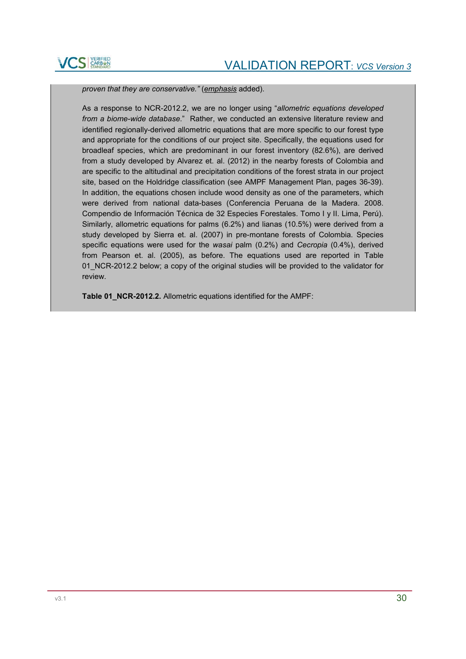

*proven that they are conservative."* (*emphasis* added).

As a response to NCR-2012.2, we are no longer using "*allometric equations developed from a biome-wide database*." Rather, we conducted an extensive literature review and identified regionally-derived allometric equations that are more specific to our forest type and appropriate for the conditions of our project site. Specifically, the equations used for broadleaf species, which are predominant in our forest inventory (82.6%), are derived from a study developed by Alvarez et. al. (2012) in the nearby forests of Colombia and are specific to the altitudinal and precipitation conditions of the forest strata in our project site, based on the Holdridge classification (see AMPF Management Plan, pages 36-39). In addition, the equations chosen include wood density as one of the parameters, which were derived from national data-bases (Conferencia Peruana de la Madera. 2008. Compendio de Información Técnica de 32 Especies Forestales. Tomo I y II. Lima, Perú). Similarly, allometric equations for palms (6.2%) and lianas (10.5%) were derived from a study developed by Sierra et. al. (2007) in pre-montane forests of Colombia. Species specific equations were used for the *wasai* palm (0.2%) and *Cecropia* (0.4%), derived from Pearson et. al. (2005), as before. The equations used are reported in Table 01 NCR-2012.2 below; a copy of the original studies will be provided to the validator for review.

**Table 01\_NCR-2012.2.** Allometric equations identified for the AMPF: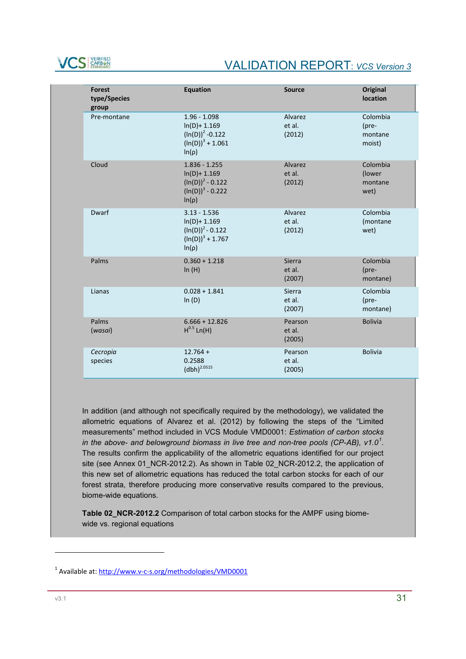

| <b>Forest</b><br>type/Species<br>group | <b>Equation</b>                                                                                | <b>Source</b>               | Original<br>location                   |
|----------------------------------------|------------------------------------------------------------------------------------------------|-----------------------------|----------------------------------------|
| Pre-montane                            | $1.96 - 1.098$<br>$ln(D) + 1.169$<br>$(ln(D))^2 - 0.122$<br>$(ln(D))^3 + 1.061$<br>$ln(\rho)$  | Alvarez<br>et al.<br>(2012) | Colombia<br>(pre-<br>montane<br>moist) |
| Cloud                                  | $1.836 - 1.255$<br>$ln(D) + 1.169$<br>$(ln(D))^2 - 0.122$<br>$(ln(D))^3 - 0.222$<br>$ln(\rho)$ | Alvarez<br>et al.<br>(2012) | Colombia<br>(lower<br>montane<br>wet)  |
| Dwarf                                  | $3.13 - 1.536$<br>$ln(D) + 1.169$<br>$(ln(D))^2 - 0.122$<br>$(ln(D))^3 + 1.767$<br>$ln(\rho)$  | Alvarez<br>et al.<br>(2012) | Colombia<br>(montane<br>wet)           |
| Palms                                  | $0.360 + 1.218$<br>In(H)                                                                       | Sierra<br>et al.<br>(2007)  | Colombia<br>(pre-<br>montane)          |
| Lianas                                 | $0.028 + 1.841$<br>ln(D)                                                                       | Sierra<br>et al.<br>(2007)  | Colombia<br>(pre-<br>montane)          |
| Palms<br>(wasai)                       | $6.666 + 12.826$<br>$H^{0.5}$ Ln(H)                                                            | Pearson<br>et al.<br>(2005) | <b>Bolivia</b>                         |
| Cecropia<br>species                    | $12.764 +$<br>0.2588<br>$(dbh)^{2.0515}$                                                       | Pearson<br>et al.<br>(2005) | <b>Bolivia</b>                         |

In addition (and although not specifically required by the methodology), we validated the allometric equations of Alvarez et al. (2012) by following the steps of the "Limited measurements" method included in VCS Module VMD0001: *Estimation of carbon stocks in the above- and belowground biomass in live tree and non-tree pools (CP-AB), v1.0<sup>1</sup>* . The results confirm the applicability of the allometric equations identified for our project site (see Annex 01\_NCR-2012.2). As shown in Table 02\_NCR-2012.2, the application of this new set of allometric equations has reduced the total carbon stocks for each of our forest strata, therefore producing more conservative results compared to the previous, biome-wide equations.

**Table 02\_NCR-2012.2** Comparison of total carbon stocks for the AMPF using biomewide vs. regional equations

1

<sup>1</sup> Available at: http://www.v-c-s.org/methodologies/VMD0001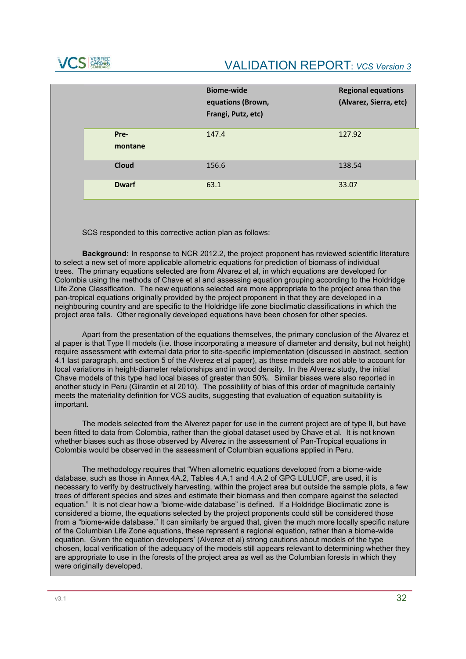

|                 | <b>Biome-wide</b><br>equations (Brown,<br>Frangi, Putz, etc) | <b>Regional equations</b><br>(Alvarez, Sierra, etc) |
|-----------------|--------------------------------------------------------------|-----------------------------------------------------|
| Pre-<br>montane | 147.4                                                        | 127.92                                              |
| <b>Cloud</b>    | 156.6                                                        | 138.54                                              |
| <b>Dwarf</b>    | 63.1                                                         | 33.07                                               |

SCS responded to this corrective action plan as follows:

**Background:** In response to NCR 2012.2, the project proponent has reviewed scientific literature to select a new set of more applicable allometric equations for prediction of biomass of individual trees. The primary equations selected are from Alvarez et al, in which equations are developed for Colombia using the methods of Chave et al and assessing equation grouping according to the Holdridge Life Zone Classification. The new equations selected are more appropriate to the project area than the pan-tropical equations originally provided by the project proponent in that they are developed in a neighbouring country and are specific to the Holdridge life zone bioclimatic classifications in which the project area falls. Other regionally developed equations have been chosen for other species.

Apart from the presentation of the equations themselves, the primary conclusion of the Alvarez et al paper is that Type II models (i.e. those incorporating a measure of diameter and density, but not height) require assessment with external data prior to site-specific implementation (discussed in abstract, section 4.1 last paragraph, and section 5 of the Alverez et al paper), as these models are not able to account for local variations in height-diameter relationships and in wood density. In the Alverez study, the initial Chave models of this type had local biases of greater than 50%. Similar biases were also reported in another study in Peru (Girardin et al 2010). The possibility of bias of this order of magnitude certainly meets the materiality definition for VCS audits, suggesting that evaluation of equation suitability is important.

The models selected from the Alverez paper for use in the current project are of type II, but have been fitted to data from Colombia, rather than the global dataset used by Chave et al. It is not known whether biases such as those observed by Alverez in the assessment of Pan-Tropical equations in Colombia would be observed in the assessment of Columbian equations applied in Peru.

The methodology requires that "When allometric equations developed from a biome-wide database, such as those in Annex 4A.2, Tables 4.A.1 and 4.A.2 of GPG LULUCF, are used, it is necessary to verify by destructively harvesting, within the project area but outside the sample plots, a few trees of different species and sizes and estimate their biomass and then compare against the selected equation." It is not clear how a "biome-wide database" is defined. If a Holdridge Bioclimatic zone is considered a biome, the equations selected by the project proponents could still be considered those from a "biome-wide database." It can similarly be argued that, given the much more locally specific nature of the Columbian Life Zone equations, these represent a regional equation, rather than a biome-wide equation. Given the equation developers' (Alverez et al) strong cautions about models of the type chosen, local verification of the adequacy of the models still appears relevant to determining whether they are appropriate to use in the forests of the project area as well as the Columbian forests in which they were originally developed.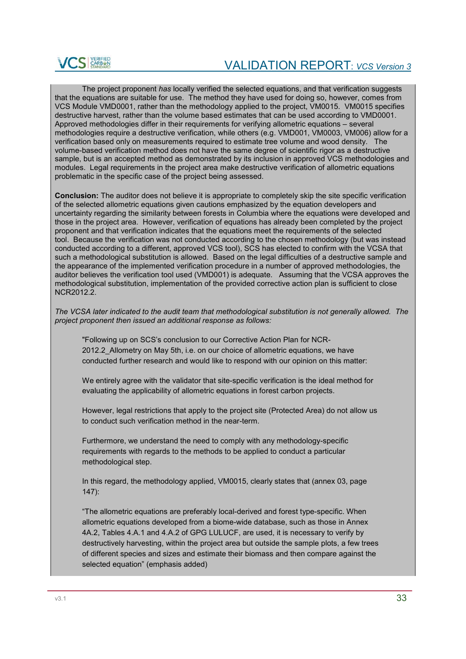

The project proponent *has* locally verified the selected equations, and that verification suggests that the equations are suitable for use. The method they have used for doing so, however, comes from VCS Module VMD0001, rather than the methodology applied to the project, VM0015. VM0015 specifies destructive harvest, rather than the volume based estimates that can be used according to VMD0001. Approved methodologies differ in their requirements for verifying allometric equations – several methodologies require a destructive verification, while others (e.g. VMD001, VM0003, VM006) allow for a verification based only on measurements required to estimate tree volume and wood density. The volume-based verification method does not have the same degree of scientific rigor as a destructive sample, but is an accepted method as demonstrated by its inclusion in approved VCS methodologies and modules. Legal requirements in the project area make destructive verification of allometric equations problematic in the specific case of the project being assessed.

**Conclusion:** The auditor does not believe it is appropriate to completely skip the site specific verification of the selected allometric equations given cautions emphasized by the equation developers and uncertainty regarding the similarity between forests in Columbia where the equations were developed and those in the project area. However, verification of equations has already been completed by the project proponent and that verification indicates that the equations meet the requirements of the selected tool. Because the verification was not conducted according to the chosen methodology (but was instead conducted according to a different, approved VCS tool), SCS has elected to confirm with the VCSA that such a methodological substitution is allowed. Based on the legal difficulties of a destructive sample and the appearance of the implemented verification procedure in a number of approved methodologies, the auditor believes the verification tool used (VMD001) is adequate. Assuming that the VCSA approves the methodological substitution, implementation of the provided corrective action plan is sufficient to close NCR2012.2.

*The VCSA later indicated to the audit team that methodological substitution is not generally allowed. The project proponent then issued an additional response as follows:* 

"Following up on SCS's conclusion to our Corrective Action Plan for NCR-2012.2 Allometry on May 5th, i.e. on our choice of allometric equations, we have conducted further research and would like to respond with our opinion on this matter:

We entirely agree with the validator that site-specific verification is the ideal method for evaluating the applicability of allometric equations in forest carbon projects.

However, legal restrictions that apply to the project site (Protected Area) do not allow us to conduct such verification method in the near-term.

Furthermore, we understand the need to comply with any methodology-specific requirements with regards to the methods to be applied to conduct a particular methodological step.

In this regard, the methodology applied, VM0015, clearly states that (annex 03, page 147):

"The allometric equations are preferably local-derived and forest type-specific. When allometric equations developed from a biome-wide database, such as those in Annex 4A.2, Tables 4.A.1 and 4.A.2 of GPG LULUCF, are used, it is necessary to verify by destructively harvesting, within the project area but outside the sample plots, a few trees of different species and sizes and estimate their biomass and then compare against the selected equation" (emphasis added)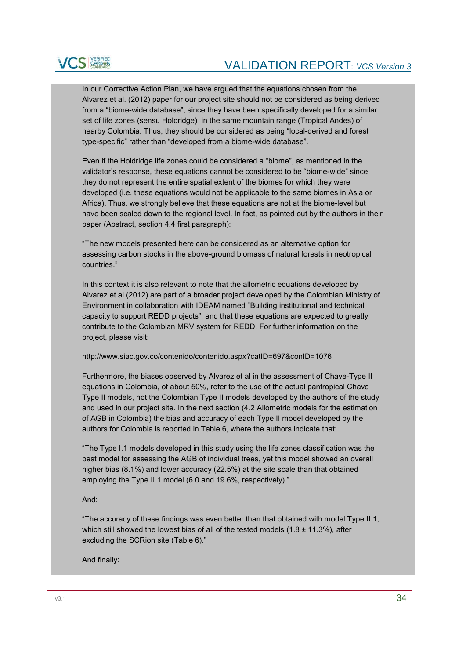

In our Corrective Action Plan, we have argued that the equations chosen from the Alvarez et al. (2012) paper for our project site should not be considered as being derived from a "biome-wide database", since they have been specifically developed for a similar set of life zones (sensu Holdridge) in the same mountain range (Tropical Andes) of nearby Colombia. Thus, they should be considered as being "local-derived and forest type-specific" rather than "developed from a biome-wide database".

Even if the Holdridge life zones could be considered a "biome", as mentioned in the validator's response, these equations cannot be considered to be "biome-wide" since they do not represent the entire spatial extent of the biomes for which they were developed (i.e. these equations would not be applicable to the same biomes in Asia or Africa). Thus, we strongly believe that these equations are not at the biome-level but have been scaled down to the regional level. In fact, as pointed out by the authors in their paper (Abstract, section 4.4 first paragraph):

"The new models presented here can be considered as an alternative option for assessing carbon stocks in the above-ground biomass of natural forests in neotropical countries."

In this context it is also relevant to note that the allometric equations developed by Alvarez et al (2012) are part of a broader project developed by the Colombian Ministry of Environment in collaboration with IDEAM named "Building institutional and technical capacity to support REDD projects", and that these equations are expected to greatly contribute to the Colombian MRV system for REDD. For further information on the project, please visit:

http://www.siac.gov.co/contenido/contenido.aspx?catID=697&conID=1076

Furthermore, the biases observed by Alvarez et al in the assessment of Chave-Type II equations in Colombia, of about 50%, refer to the use of the actual pantropical Chave Type II models, not the Colombian Type II models developed by the authors of the study and used in our project site. In the next section (4.2 Allometric models for the estimation of AGB in Colombia) the bias and accuracy of each Type II model developed by the authors for Colombia is reported in Table 6, where the authors indicate that:

"The Type I.1 models developed in this study using the life zones classification was the best model for assessing the AGB of individual trees, yet this model showed an overall higher bias (8.1%) and lower accuracy (22.5%) at the site scale than that obtained employing the Type II.1 model (6.0 and 19.6%, respectively)."

And:

"The accuracy of these findings was even better than that obtained with model Type II.1, which still showed the lowest bias of all of the tested models  $(1.8 \pm 11.3\%)$ , after excluding the SCRion site (Table 6)."

And finally: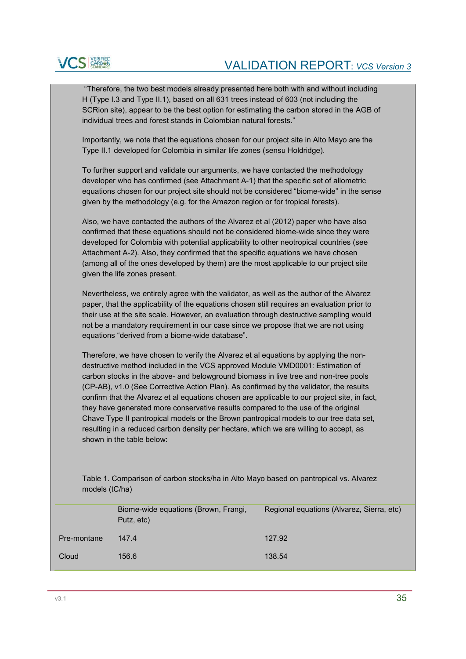

"Therefore, the two best models already presented here both with and without including H (Type I.3 and Type II.1), based on all 631 trees instead of 603 (not including the SCRion site), appear to be the best option for estimating the carbon stored in the AGB of individual trees and forest stands in Colombian natural forests."

Importantly, we note that the equations chosen for our project site in Alto Mayo are the Type II.1 developed for Colombia in similar life zones (sensu Holdridge).

To further support and validate our arguments, we have contacted the methodology developer who has confirmed (see Attachment A-1) that the specific set of allometric equations chosen for our project site should not be considered "biome-wide" in the sense given by the methodology (e.g. for the Amazon region or for tropical forests).

Also, we have contacted the authors of the Alvarez et al (2012) paper who have also confirmed that these equations should not be considered biome-wide since they were developed for Colombia with potential applicability to other neotropical countries (see Attachment A-2). Also, they confirmed that the specific equations we have chosen (among all of the ones developed by them) are the most applicable to our project site given the life zones present.

Nevertheless, we entirely agree with the validator, as well as the author of the Alvarez paper, that the applicability of the equations chosen still requires an evaluation prior to their use at the site scale. However, an evaluation through destructive sampling would not be a mandatory requirement in our case since we propose that we are not using equations "derived from a biome-wide database".

Therefore, we have chosen to verify the Alvarez et al equations by applying the nondestructive method included in the VCS approved Module VMD0001: Estimation of carbon stocks in the above- and belowground biomass in live tree and non-tree pools (CP-AB), v1.0 (See Corrective Action Plan). As confirmed by the validator, the results confirm that the Alvarez et al equations chosen are applicable to our project site, in fact, they have generated more conservative results compared to the use of the original Chave Type II pantropical models or the Brown pantropical models to our tree data set, resulting in a reduced carbon density per hectare, which we are willing to accept, as shown in the table below:

Table 1. Comparison of carbon stocks/ha in Alto Mayo based on pantropical vs. Alvarez models (tC/ha)

|             | Biome-wide equations (Brown, Frangi,<br>Putz, etc) | Regional equations (Alvarez, Sierra, etc) |
|-------------|----------------------------------------------------|-------------------------------------------|
| Pre-montane | 147.4                                              | 127.92                                    |
| Cloud       | 156.6                                              | 138.54                                    |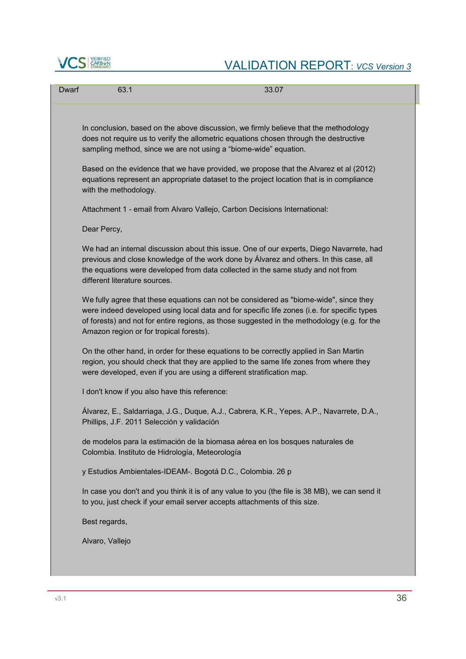

# **VCS** STARBER VALIDATION REPORT: *VCS Version 3*

| Dwarf | 63.1                                            | 33.07                                                                                                                                                                                                                                                                               |
|-------|-------------------------------------------------|-------------------------------------------------------------------------------------------------------------------------------------------------------------------------------------------------------------------------------------------------------------------------------------|
|       |                                                 | In conclusion, based on the above discussion, we firmly believe that the methodology<br>does not require us to verify the allometric equations chosen through the destructive<br>sampling method, since we are not using a "biome-wide" equation.                                   |
|       | with the methodology.                           | Based on the evidence that we have provided, we propose that the Alvarez et al (2012)<br>equations represent an appropriate dataset to the project location that is in compliance                                                                                                   |
|       |                                                 | Attachment 1 - email from Alvaro Vallejo, Carbon Decisions International:                                                                                                                                                                                                           |
|       | Dear Percy,                                     |                                                                                                                                                                                                                                                                                     |
|       | different literature sources.                   | We had an internal discussion about this issue. One of our experts, Diego Navarrete, had<br>previous and close knowledge of the work done by Álvarez and others. In this case, all<br>the equations were developed from data collected in the same study and not from               |
|       | Amazon region or for tropical forests).         | We fully agree that these equations can not be considered as "biome-wide", since they<br>were indeed developed using local data and for specific life zones (i.e. for specific types<br>of forests) and not for entire regions, as those suggested in the methodology (e.g. for the |
|       |                                                 | On the other hand, in order for these equations to be correctly applied in San Martin<br>region, you should check that they are applied to the same life zones from where they<br>were developed, even if you are using a different stratification map.                             |
|       | I don't know if you also have this reference:   |                                                                                                                                                                                                                                                                                     |
|       | Phillips, J.F. 2011 Selección y validación      | Álvarez, E., Saldarriaga, J.G., Duque, A.J., Cabrera, K.R., Yepes, A.P., Navarrete, D.A.,                                                                                                                                                                                           |
|       | Colombia. Instituto de Hidrología, Meteorología | de modelos para la estimación de la biomasa aérea en los bosques naturales de                                                                                                                                                                                                       |
|       |                                                 | y Estudios Ambientales-IDEAM-. Bogotá D.C., Colombia. 26 p                                                                                                                                                                                                                          |
|       |                                                 | In case you don't and you think it is of any value to you (the file is 38 MB), we can send it<br>to you, just check if your email server accepts attachments of this size.                                                                                                          |
|       | Best regards,                                   |                                                                                                                                                                                                                                                                                     |
|       | Alvaro, Vallejo                                 |                                                                                                                                                                                                                                                                                     |
|       |                                                 |                                                                                                                                                                                                                                                                                     |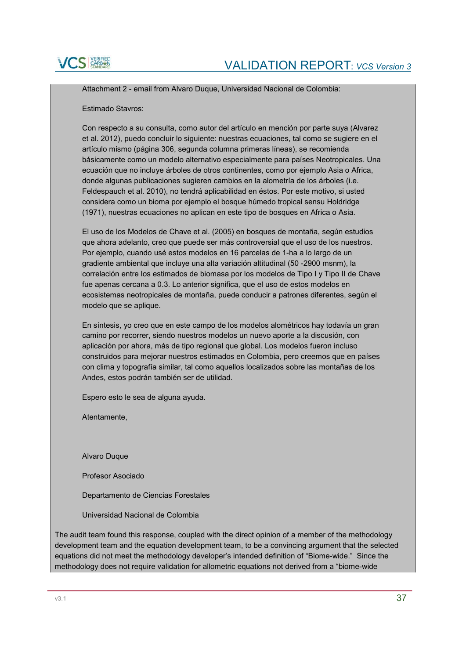

Attachment 2 - email from Alvaro Duque, Universidad Nacional de Colombia:

Estimado Stavros:

Con respecto a su consulta, como autor del artículo en mención por parte suya (Alvarez et al. 2012), puedo concluir lo siguiente: nuestras ecuaciones, tal como se sugiere en el artículo mismo (página 306, segunda columna primeras líneas), se recomienda básicamente como un modelo alternativo especialmente para países Neotropicales. Una ecuación que no incluye árboles de otros continentes, como por ejemplo Asia o Africa, donde algunas publicaciones sugieren cambios en la alometría de los árboles (i.e. Feldespauch et al. 2010), no tendrá aplicabilidad en éstos. Por este motivo, si usted considera como un bioma por ejemplo el bosque húmedo tropical sensu Holdridge (1971), nuestras ecuaciones no aplican en este tipo de bosques en Africa o Asia.

El uso de los Modelos de Chave et al. (2005) en bosques de montaña, según estudios que ahora adelanto, creo que puede ser más controversial que el uso de los nuestros. Por ejemplo, cuando usé estos modelos en 16 parcelas de 1-ha a lo largo de un gradiente ambiental que incluye una alta variación altitudinal (50 -2900 msnm), la correlación entre los estimados de biomasa por los modelos de Tipo I y Tipo II de Chave fue apenas cercana a 0.3. Lo anterior significa, que el uso de estos modelos en ecosistemas neotropicales de montaña, puede conducir a patrones diferentes, según el modelo que se aplique.

En síntesis, yo creo que en este campo de los modelos alométricos hay todavía un gran camino por recorrer, siendo nuestros modelos un nuevo aporte a la discusión, con aplicación por ahora, más de tipo regional que global. Los modelos fueron incluso construidos para mejorar nuestros estimados en Colombia, pero creemos que en países con clima y topografía similar, tal como aquellos localizados sobre las montañas de los Andes, estos podrán también ser de utilidad.

Espero esto le sea de alguna ayuda.

Atentamente,

Alvaro Duque

Profesor Asociado

Departamento de Ciencias Forestales

Universidad Nacional de Colombia

The audit team found this response, coupled with the direct opinion of a member of the methodology development team and the equation development team, to be a convincing argument that the selected equations did not meet the methodology developer's intended definition of "Biome-wide." Since the methodology does not require validation for allometric equations not derived from a "biome-wide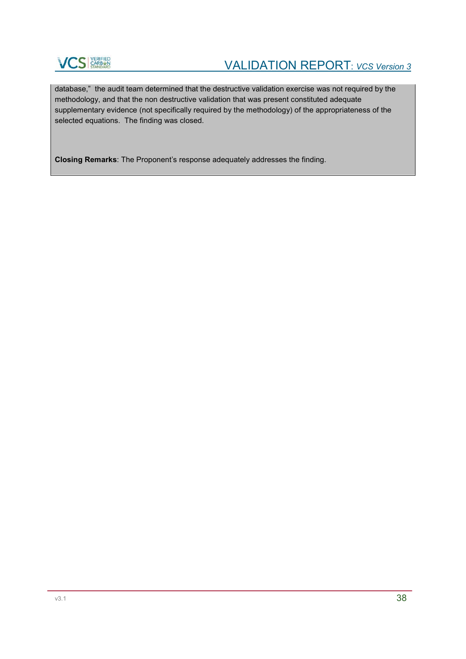

database," the audit team determined that the destructive validation exercise was not required by the methodology, and that the non destructive validation that was present constituted adequate supplementary evidence (not specifically required by the methodology) of the appropriateness of the selected equations. The finding was closed.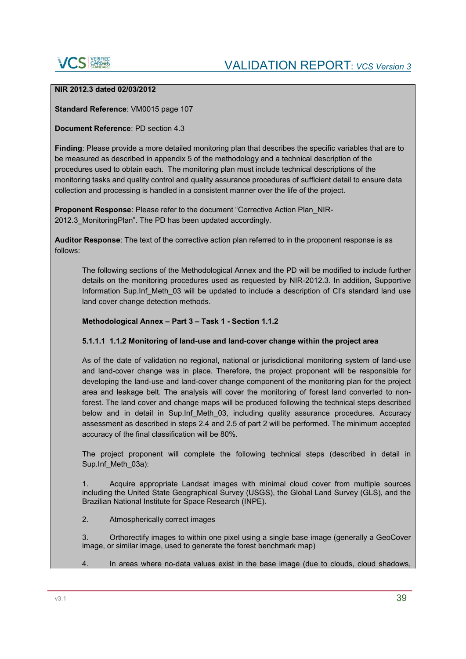

### **NIR 2012.3 dated 02/03/2012**

**Standard Reference**: VM0015 page 107

#### **Document Reference**: PD section 4.3

**Finding**: Please provide a more detailed monitoring plan that describes the specific variables that are to be measured as described in appendix 5 of the methodology and a technical description of the procedures used to obtain each. The monitoring plan must include technical descriptions of the monitoring tasks and quality control and quality assurance procedures of sufficient detail to ensure data collection and processing is handled in a consistent manner over the life of the project.

**Proponent Response**: Please refer to the document "Corrective Action Plan\_NIR-2012.3 MonitoringPlan". The PD has been updated accordingly.

**Auditor Response**: The text of the corrective action plan referred to in the proponent response is as follows:

The following sections of the Methodological Annex and the PD will be modified to include further details on the monitoring procedures used as requested by NIR-2012.3. In addition, Supportive Information Sup. Inf Meth 03 will be updated to include a description of CI's standard land use land cover change detection methods.

### **Methodological Annex – Part 3 – Task 1 - Section 1.1.2**

### **5.1.1.1 1.1.2 Monitoring of land-use and land-cover change within the project area**

As of the date of validation no regional, national or jurisdictional monitoring system of land-use and land-cover change was in place. Therefore, the project proponent will be responsible for developing the land-use and land-cover change component of the monitoring plan for the project area and leakage belt. The analysis will cover the monitoring of forest land converted to nonforest. The land cover and change maps will be produced following the technical steps described below and in detail in Sup.Inf\_Meth\_03, including quality assurance procedures. Accuracy assessment as described in steps 2.4 and 2.5 of part 2 will be performed. The minimum accepted accuracy of the final classification will be 80%.

The project proponent will complete the following technical steps (described in detail in Sup.Inf Meth 03a):

1. Acquire appropriate Landsat images with minimal cloud cover from multiple sources including the United State Geographical Survey (USGS), the Global Land Survey (GLS), and the Brazilian National Institute for Space Research (INPE).

2. Atmospherically correct images

3. Orthorectify images to within one pixel using a single base image (generally a GeoCover image, or similar image, used to generate the forest benchmark map)

4. In areas where no-data values exist in the base image (due to clouds, cloud shadows,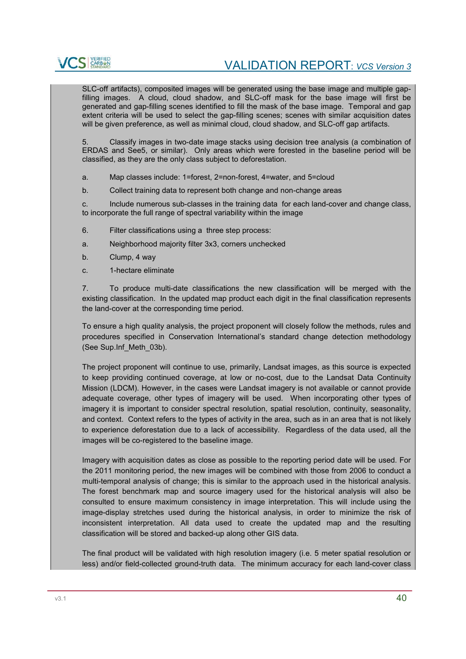

SLC-off artifacts), composited images will be generated using the base image and multiple gapfilling images. A cloud, cloud shadow, and SLC-off mask for the base image will first be generated and gap-filling scenes identified to fill the mask of the base image. Temporal and gap extent criteria will be used to select the gap-filling scenes; scenes with similar acquisition dates will be given preference, as well as minimal cloud, cloud shadow, and SLC-off gap artifacts.

5. Classify images in two-date image stacks using decision tree analysis (a combination of ERDAS and See5, or similar). Only areas which were forested in the baseline period will be classified, as they are the only class subject to deforestation.

- a. Map classes include: 1=forest, 2=non-forest, 4=water, and 5=cloud
- b. Collect training data to represent both change and non-change areas

c. Include numerous sub-classes in the training data for each land-cover and change class, to incorporate the full range of spectral variability within the image

- 6. Filter classifications using a three step process:
- a. Neighborhood majority filter 3x3, corners unchecked
- b. Clump, 4 way
- c. 1-hectare eliminate

7. To produce multi-date classifications the new classification will be merged with the existing classification. In the updated map product each digit in the final classification represents the land-cover at the corresponding time period.

To ensure a high quality analysis, the project proponent will closely follow the methods, rules and procedures specified in Conservation International's standard change detection methodology (See Sup.Inf\_Meth\_03b).

The project proponent will continue to use, primarily, Landsat images, as this source is expected to keep providing continued coverage, at low or no-cost, due to the Landsat Data Continuity Mission (LDCM). However, in the cases were Landsat imagery is not available or cannot provide adequate coverage, other types of imagery will be used. When incorporating other types of imagery it is important to consider spectral resolution, spatial resolution, continuity, seasonality, and context. Context refers to the types of activity in the area, such as in an area that is not likely to experience deforestation due to a lack of accessibility. Regardless of the data used, all the images will be co-registered to the baseline image.

Imagery with acquisition dates as close as possible to the reporting period date will be used. For the 2011 monitoring period, the new images will be combined with those from 2006 to conduct a multi-temporal analysis of change; this is similar to the approach used in the historical analysis. The forest benchmark map and source imagery used for the historical analysis will also be consulted to ensure maximum consistency in image interpretation. This will include using the image-display stretches used during the historical analysis, in order to minimize the risk of inconsistent interpretation. All data used to create the updated map and the resulting classification will be stored and backed-up along other GIS data.

The final product will be validated with high resolution imagery (i.e. 5 meter spatial resolution or less) and/or field-collected ground-truth data. The minimum accuracy for each land-cover class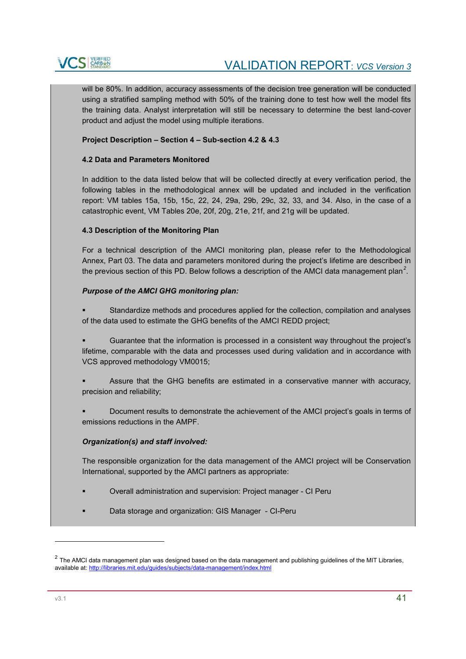

will be 80%. In addition, accuracy assessments of the decision tree generation will be conducted using a stratified sampling method with 50% of the training done to test how well the model fits the training data. Analyst interpretation will still be necessary to determine the best land-cover product and adjust the model using multiple iterations.

### **Project Description – Section 4 – Sub-section 4.2 & 4.3**

### **4.2 Data and Parameters Monitored**

In addition to the data listed below that will be collected directly at every verification period, the following tables in the methodological annex will be updated and included in the verification report: VM tables 15a, 15b, 15c, 22, 24, 29a, 29b, 29c, 32, 33, and 34. Also, in the case of a catastrophic event, VM Tables 20e, 20f, 20g, 21e, 21f, and 21g will be updated.

#### **4.3 Description of the Monitoring Plan**

For a technical description of the AMCI monitoring plan, please refer to the Methodological Annex, Part 03. The data and parameters monitored during the project's lifetime are described in the previous section of this PD. Below follows a description of the AMCI data management plan*<sup>2</sup>* .

#### *Purpose of the AMCI GHG monitoring plan:*

- Standardize methods and procedures applied for the collection, compilation and analyses of the data used to estimate the GHG benefits of the AMCI REDD project;
- Guarantee that the information is processed in a consistent way throughout the project's lifetime, comparable with the data and processes used during validation and in accordance with VCS approved methodology VM0015;
- Assure that the GHG benefits are estimated in a conservative manner with accuracy, precision and reliability;
- Document results to demonstrate the achievement of the AMCI project's goals in terms of emissions reductions in the AMPF.

### *Organization(s) and staff involved:*

The responsible organization for the data management of the AMCI project will be Conservation International, supported by the AMCI partners as appropriate:

- Overall administration and supervision: Project manager CI Peru
- Data storage and organization: GIS Manager CI-Peru

-

 $2$  The AMCI data management plan was designed based on the data management and publishing guidelines of the MIT Libraries, available at: http://libraries.mit.edu/guides/subjects/data-management/index.html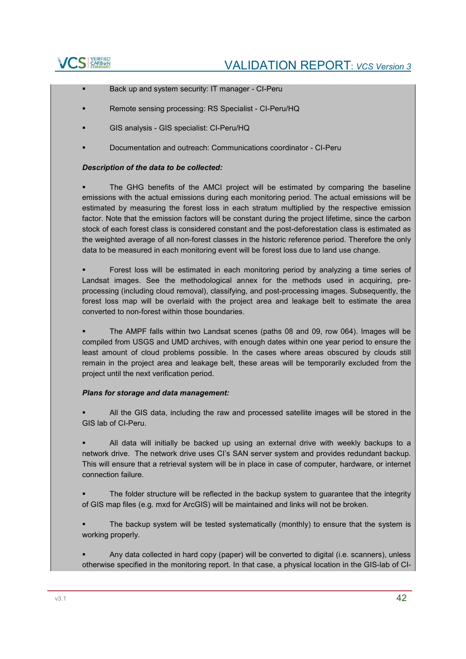

- Back up and system security: IT manager CI-Peru
- Remote sensing processing: RS Specialist CI-Peru/HQ
- GIS analysis GIS specialist: CI-Peru/HQ
- Documentation and outreach: Communications coordinator CI-Peru

#### *Description of the data to be collected:*

 The GHG benefits of the AMCI project will be estimated by comparing the baseline emissions with the actual emissions during each monitoring period. The actual emissions will be estimated by measuring the forest loss in each stratum multiplied by the respective emission factor. Note that the emission factors will be constant during the project lifetime, since the carbon stock of each forest class is considered constant and the post-deforestation class is estimated as the weighted average of all non-forest classes in the historic reference period. Therefore the only data to be measured in each monitoring event will be forest loss due to land use change.

 Forest loss will be estimated in each monitoring period by analyzing a time series of Landsat images. See the methodological annex for the methods used in acquiring, preprocessing (including cloud removal), classifying, and post-processing images. Subsequently, the forest loss map will be overlaid with the project area and leakage belt to estimate the area converted to non-forest within those boundaries.

 The AMPF falls within two Landsat scenes (paths 08 and 09, row 064). Images will be compiled from USGS and UMD archives, with enough dates within one year period to ensure the least amount of cloud problems possible. In the cases where areas obscured by clouds still remain in the project area and leakage belt, these areas will be temporarily excluded from the project until the next verification period.

#### *Plans for storage and data management:*

 All the GIS data, including the raw and processed satellite images will be stored in the GIS lab of CI-Peru.

 All data will initially be backed up using an external drive with weekly backups to a network drive. The network drive uses CI's SAN server system and provides redundant backup. This will ensure that a retrieval system will be in place in case of computer, hardware, or internet connection failure.

 The folder structure will be reflected in the backup system to guarantee that the integrity of GIS map files (e.g. mxd for ArcGIS) will be maintained and links will not be broken.

 The backup system will be tested systematically (monthly) to ensure that the system is working properly.

 Any data collected in hard copy (paper) will be converted to digital (i.e. scanners), unless otherwise specified in the monitoring report. In that case, a physical location in the GIS-lab of CI-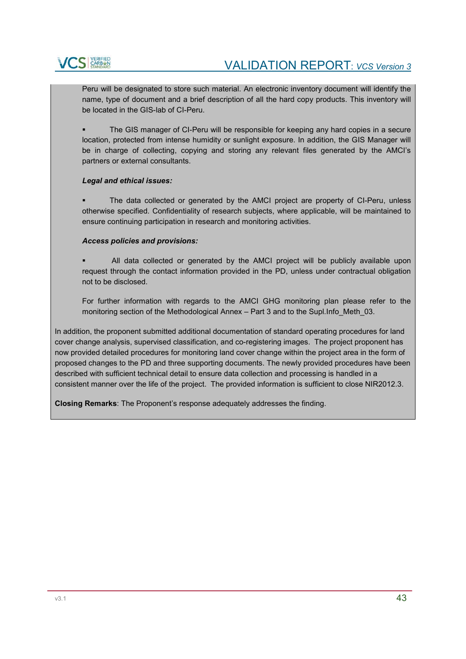

Peru will be designated to store such material. An electronic inventory document will identify the name, type of document and a brief description of all the hard copy products. This inventory will be located in the GIS-lab of CI-Peru.

 The GIS manager of CI-Peru will be responsible for keeping any hard copies in a secure location, protected from intense humidity or sunlight exposure. In addition, the GIS Manager will be in charge of collecting, copying and storing any relevant files generated by the AMCI's partners or external consultants.

### *Legal and ethical issues:*

 The data collected or generated by the AMCI project are property of CI-Peru, unless otherwise specified. Confidentiality of research subjects, where applicable, will be maintained to ensure continuing participation in research and monitoring activities.

#### *Access policies and provisions:*

 All data collected or generated by the AMCI project will be publicly available upon request through the contact information provided in the PD, unless under contractual obligation not to be disclosed.

For further information with regards to the AMCI GHG monitoring plan please refer to the monitoring section of the Methodological Annex – Part 3 and to the Supl. Info\_Meth\_03.

In addition, the proponent submitted additional documentation of standard operating procedures for land cover change analysis, supervised classification, and co-registering images. The project proponent has now provided detailed procedures for monitoring land cover change within the project area in the form of proposed changes to the PD and three supporting documents. The newly provided procedures have been described with sufficient technical detail to ensure data collection and processing is handled in a consistent manner over the life of the project. The provided information is sufficient to close NIR2012.3.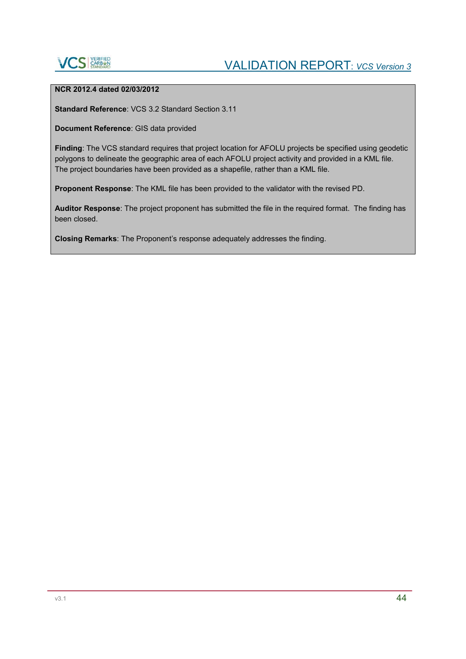

### **NCR 2012.4 dated 02/03/2012**

**Standard Reference**: VCS 3.2 Standard Section 3.11

**Document Reference**: GIS data provided

**Finding**: The VCS standard requires that project location for AFOLU projects be specified using geodetic polygons to delineate the geographic area of each AFOLU project activity and provided in a KML file. The project boundaries have been provided as a shapefile, rather than a KML file.

**Proponent Response**: The KML file has been provided to the validator with the revised PD.

**Auditor Response**: The project proponent has submitted the file in the required format. The finding has been closed.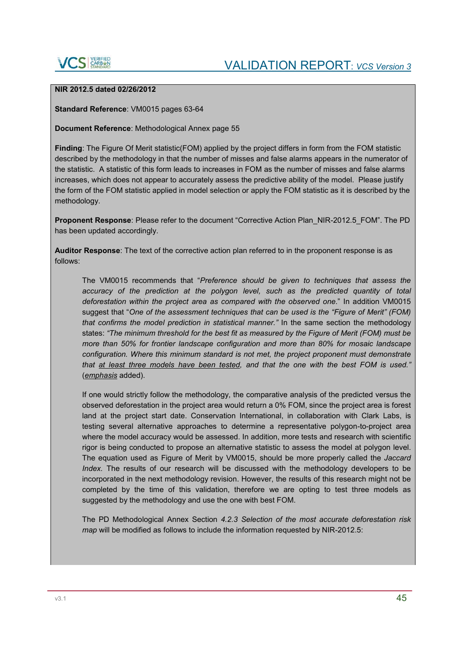

### **NIR 2012.5 dated 02/26/2012**

**Standard Reference**: VM0015 pages 63-64

**Document Reference**: Methodological Annex page 55

**Finding**: The Figure Of Merit statistic(FOM) applied by the project differs in form from the FOM statistic described by the methodology in that the number of misses and false alarms appears in the numerator of the statistic. A statistic of this form leads to increases in FOM as the number of misses and false alarms increases, which does not appear to accurately assess the predictive ability of the model. Please justify the form of the FOM statistic applied in model selection or apply the FOM statistic as it is described by the methodology.

**Proponent Response**: Please refer to the document "Corrective Action Plan\_NIR-2012.5\_FOM". The PD has been updated accordingly.

**Auditor Response**: The text of the corrective action plan referred to in the proponent response is as follows:

The VM0015 recommends that "*Preference should be given to techniques that assess the accuracy of the prediction at the polygon level, such as the predicted quantity of total deforestation within the project area as compared with the observed one*." In addition VM0015 suggest that "*One of the assessment techniques that can be used is the "Figure of Merit" (FOM) that confirms the model prediction in statistical manner."* In the same section the methodology states: *"The minimum threshold for the best fit as measured by the Figure of Merit (FOM) must be more than 50% for frontier landscape configuration and more than 80% for mosaic landscape configuration. Where this minimum standard is not met, the project proponent must demonstrate that at least three models have been tested, and that the one with the best FOM is used."*  (*emphasis* added).

If one would strictly follow the methodology, the comparative analysis of the predicted versus the observed deforestation in the project area would return a 0% FOM, since the project area is forest land at the project start date. Conservation International, in collaboration with Clark Labs, is testing several alternative approaches to determine a representative polygon-to-project area where the model accuracy would be assessed. In addition, more tests and research with scientific rigor is being conducted to propose an alternative statistic to assess the model at polygon level. The equation used as Figure of Merit by VM0015, should be more properly called the *Jaccard Index.* The results of our research will be discussed with the methodology developers to be incorporated in the next methodology revision. However, the results of this research might not be completed by the time of this validation, therefore we are opting to test three models as suggested by the methodology and use the one with best FOM.

The PD Methodological Annex Section *4.2.3 Selection of the most accurate deforestation risk map* will be modified as follows to include the information requested by NIR-2012.5: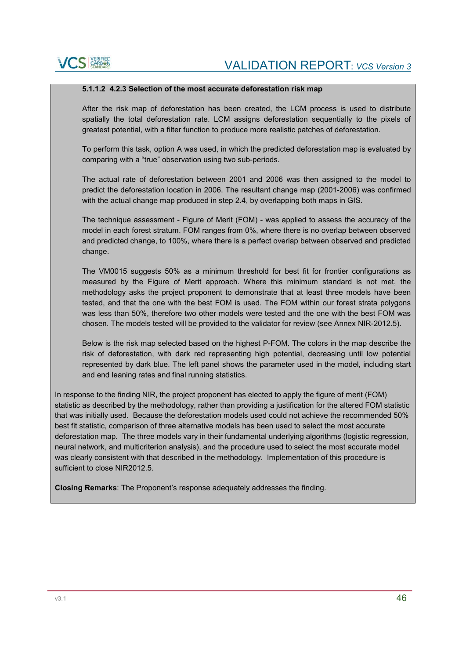### **5.1.1.2 4.2.3 Selection of the most accurate deforestation risk map**

After the risk map of deforestation has been created, the LCM process is used to distribute spatially the total deforestation rate. LCM assigns deforestation sequentially to the pixels of greatest potential, with a filter function to produce more realistic patches of deforestation.

To perform this task, option A was used, in which the predicted deforestation map is evaluated by comparing with a "true" observation using two sub-periods.

The actual rate of deforestation between 2001 and 2006 was then assigned to the model to predict the deforestation location in 2006. The resultant change map (2001-2006) was confirmed with the actual change map produced in step 2.4, by overlapping both maps in GIS.

The technique assessment - Figure of Merit (FOM) - was applied to assess the accuracy of the model in each forest stratum. FOM ranges from 0%, where there is no overlap between observed and predicted change, to 100%, where there is a perfect overlap between observed and predicted change.

The VM0015 suggests 50% as a minimum threshold for best fit for frontier configurations as measured by the Figure of Merit approach. Where this minimum standard is not met, the methodology asks the project proponent to demonstrate that at least three models have been tested, and that the one with the best FOM is used. The FOM within our forest strata polygons was less than 50%, therefore two other models were tested and the one with the best FOM was chosen. The models tested will be provided to the validator for review (see Annex NIR-2012.5).

Below is the risk map selected based on the highest P-FOM. The colors in the map describe the risk of deforestation, with dark red representing high potential, decreasing until low potential represented by dark blue. The left panel shows the parameter used in the model, including start and end leaning rates and final running statistics.

In response to the finding NIR, the project proponent has elected to apply the figure of merit (FOM) statistic as described by the methodology, rather than providing a justification for the altered FOM statistic that was initially used. Because the deforestation models used could not achieve the recommended 50% best fit statistic, comparison of three alternative models has been used to select the most accurate deforestation map. The three models vary in their fundamental underlying algorithms (logistic regression, neural network, and multicriterion analysis), and the procedure used to select the most accurate model was clearly consistent with that described in the methodology. Implementation of this procedure is sufficient to close NIR2012.5.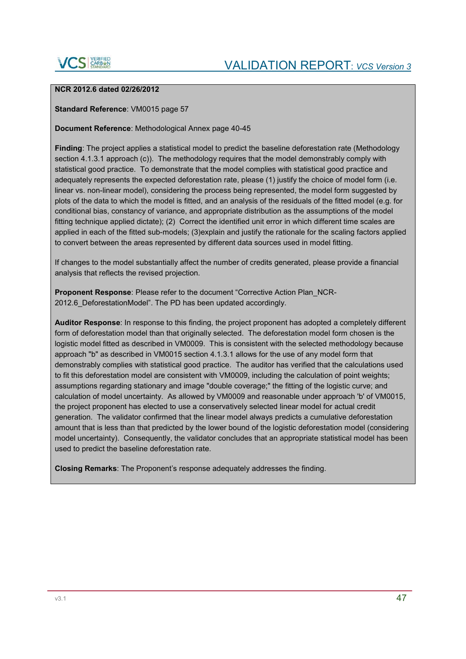

### **NCR 2012.6 dated 02/26/2012**

**Standard Reference**: VM0015 page 57

### **Document Reference**: Methodological Annex page 40-45

**Finding**: The project applies a statistical model to predict the baseline deforestation rate (Methodology section 4.1.3.1 approach (c)). The methodology requires that the model demonstrably comply with statistical good practice. To demonstrate that the model complies with statistical good practice and adequately represents the expected deforestation rate, please (1) justify the choice of model form (i.e. linear vs. non-linear model), considering the process being represented, the model form suggested by plots of the data to which the model is fitted, and an analysis of the residuals of the fitted model (e.g. for conditional bias, constancy of variance, and appropriate distribution as the assumptions of the model fitting technique applied dictate); (2) Correct the identified unit error in which different time scales are applied in each of the fitted sub-models; (3)explain and justify the rationale for the scaling factors applied to convert between the areas represented by different data sources used in model fitting.

If changes to the model substantially affect the number of credits generated, please provide a financial analysis that reflects the revised projection.

**Proponent Response**: Please refer to the document "Corrective Action Plan\_NCR-2012.6 DeforestationModel". The PD has been updated accordingly.

**Auditor Response**: In response to this finding, the project proponent has adopted a completely different form of deforestation model than that originally selected. The deforestation model form chosen is the logistic model fitted as described in VM0009. This is consistent with the selected methodology because approach "b" as described in VM0015 section 4.1.3.1 allows for the use of any model form that demonstrably complies with statistical good practice. The auditor has verified that the calculations used to fit this deforestation model are consistent with VM0009, including the calculation of point weights; assumptions regarding stationary and image "double coverage;" the fitting of the logistic curve; and calculation of model uncertainty. As allowed by VM0009 and reasonable under approach 'b' of VM0015, the project proponent has elected to use a conservatively selected linear model for actual credit generation. The validator confirmed that the linear model always predicts a cumulative deforestation amount that is less than that predicted by the lower bound of the logistic deforestation model (considering model uncertainty). Consequently, the validator concludes that an appropriate statistical model has been used to predict the baseline deforestation rate.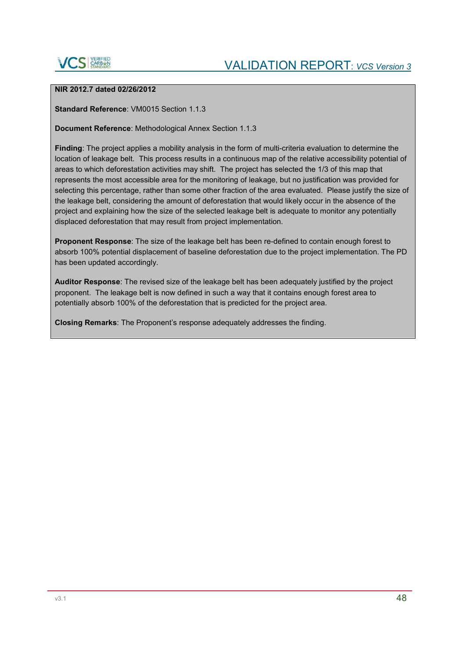

### **NIR 2012.7 dated 02/26/2012**

**Standard Reference: VM0015 Section 1.1.3** 

#### **Document Reference**: Methodological Annex Section 1.1.3

**Finding**: The project applies a mobility analysis in the form of multi-criteria evaluation to determine the location of leakage belt. This process results in a continuous map of the relative accessibility potential of areas to which deforestation activities may shift. The project has selected the 1/3 of this map that represents the most accessible area for the monitoring of leakage, but no justification was provided for selecting this percentage, rather than some other fraction of the area evaluated. Please justify the size of the leakage belt, considering the amount of deforestation that would likely occur in the absence of the project and explaining how the size of the selected leakage belt is adequate to monitor any potentially displaced deforestation that may result from project implementation.

**Proponent Response**: The size of the leakage belt has been re-defined to contain enough forest to absorb 100% potential displacement of baseline deforestation due to the project implementation. The PD has been updated accordingly.

**Auditor Response**: The revised size of the leakage belt has been adequately justified by the project proponent. The leakage belt is now defined in such a way that it contains enough forest area to potentially absorb 100% of the deforestation that is predicted for the project area.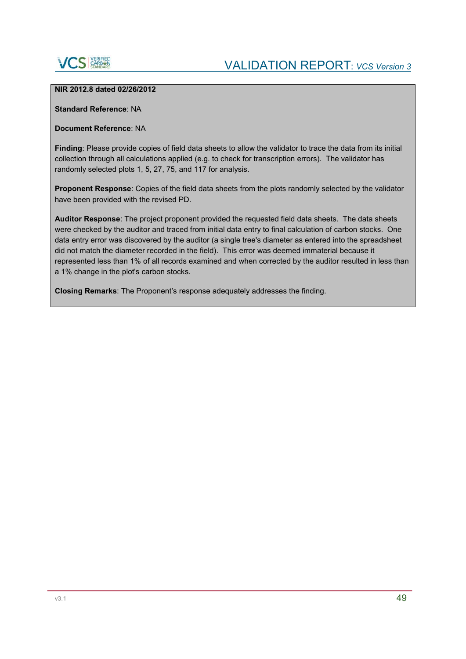

#### **NIR 2012.8 dated 02/26/2012**

**Standard Reference**: NA

### **Document Reference**: NA

**Finding**: Please provide copies of field data sheets to allow the validator to trace the data from its initial collection through all calculations applied (e.g. to check for transcription errors). The validator has randomly selected plots 1, 5, 27, 75, and 117 for analysis.

**Proponent Response**: Copies of the field data sheets from the plots randomly selected by the validator have been provided with the revised PD.

**Auditor Response**: The project proponent provided the requested field data sheets. The data sheets were checked by the auditor and traced from initial data entry to final calculation of carbon stocks. One data entry error was discovered by the auditor (a single tree's diameter as entered into the spreadsheet did not match the diameter recorded in the field). This error was deemed immaterial because it represented less than 1% of all records examined and when corrected by the auditor resulted in less than a 1% change in the plot's carbon stocks.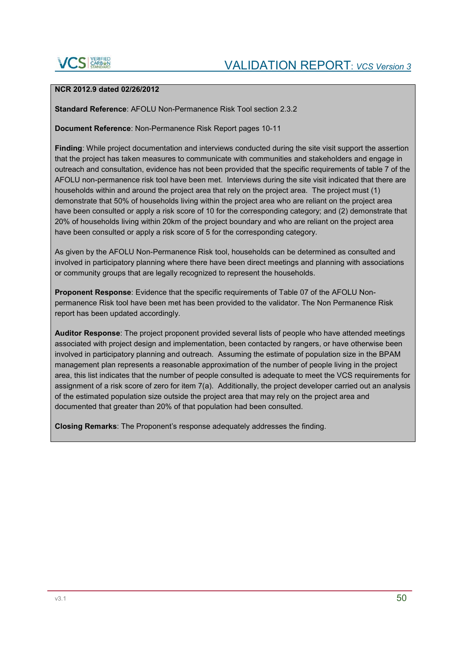

### **NCR 2012.9 dated 02/26/2012**

**Standard Reference**: AFOLU Non-Permanence Risk Tool section 2.3.2

**Document Reference**: Non-Permanence Risk Report pages 10-11

**Finding**: While project documentation and interviews conducted during the site visit support the assertion that the project has taken measures to communicate with communities and stakeholders and engage in outreach and consultation, evidence has not been provided that the specific requirements of table 7 of the AFOLU non-permanence risk tool have been met. Interviews during the site visit indicated that there are households within and around the project area that rely on the project area. The project must (1) demonstrate that 50% of households living within the project area who are reliant on the project area have been consulted or apply a risk score of 10 for the corresponding category; and (2) demonstrate that 20% of households living within 20km of the project boundary and who are reliant on the project area have been consulted or apply a risk score of 5 for the corresponding category.

As given by the AFOLU Non-Permanence Risk tool, households can be determined as consulted and involved in participatory planning where there have been direct meetings and planning with associations or community groups that are legally recognized to represent the households.

**Proponent Response**: Evidence that the specific requirements of Table 07 of the AFOLU Nonpermanence Risk tool have been met has been provided to the validator. The Non Permanence Risk report has been updated accordingly.

**Auditor Response**: The project proponent provided several lists of people who have attended meetings associated with project design and implementation, been contacted by rangers, or have otherwise been involved in participatory planning and outreach. Assuming the estimate of population size in the BPAM management plan represents a reasonable approximation of the number of people living in the project area, this list indicates that the number of people consulted is adequate to meet the VCS requirements for assignment of a risk score of zero for item 7(a). Additionally, the project developer carried out an analysis of the estimated population size outside the project area that may rely on the project area and documented that greater than 20% of that population had been consulted.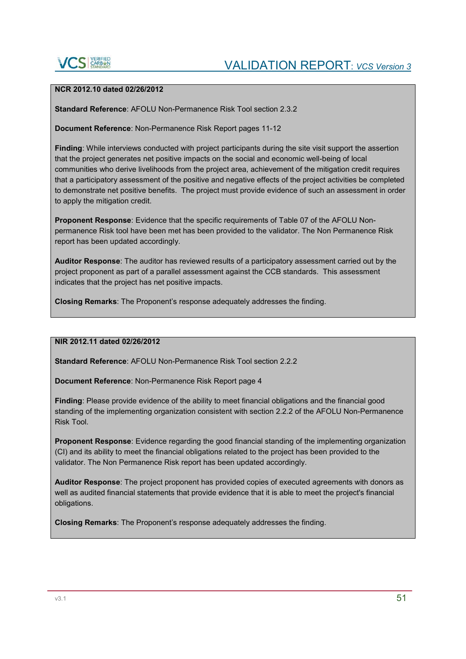

### **NCR 2012.10 dated 02/26/2012**

**Standard Reference**: AFOLU Non-Permanence Risk Tool section 2.3.2

**Document Reference**: Non-Permanence Risk Report pages 11-12

**Finding**: While interviews conducted with project participants during the site visit support the assertion that the project generates net positive impacts on the social and economic well-being of local communities who derive livelihoods from the project area, achievement of the mitigation credit requires that a participatory assessment of the positive and negative effects of the project activities be completed to demonstrate net positive benefits. The project must provide evidence of such an assessment in order to apply the mitigation credit.

**Proponent Response**: Evidence that the specific requirements of Table 07 of the AFOLU Nonpermanence Risk tool have been met has been provided to the validator. The Non Permanence Risk report has been updated accordingly.

**Auditor Response**: The auditor has reviewed results of a participatory assessment carried out by the project proponent as part of a parallel assessment against the CCB standards. This assessment indicates that the project has net positive impacts.

**Closing Remarks**: The Proponent's response adequately addresses the finding.

**NIR 2012.11 dated 02/26/2012**

**Standard Reference**: AFOLU Non-Permanence Risk Tool section 2.2.2

**Document Reference**: Non-Permanence Risk Report page 4

**Finding**: Please provide evidence of the ability to meet financial obligations and the financial good standing of the implementing organization consistent with section 2.2.2 of the AFOLU Non-Permanence Risk Tool.

**Proponent Response**: Evidence regarding the good financial standing of the implementing organization (CI) and its ability to meet the financial obligations related to the project has been provided to the validator. The Non Permanence Risk report has been updated accordingly.

**Auditor Response**: The project proponent has provided copies of executed agreements with donors as well as audited financial statements that provide evidence that it is able to meet the project's financial obligations.